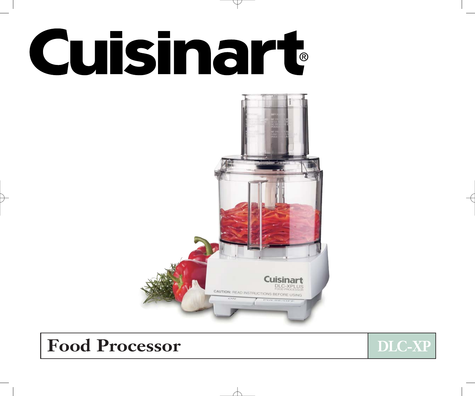# **Cuisinart**



# Food Processor **DLC-XP**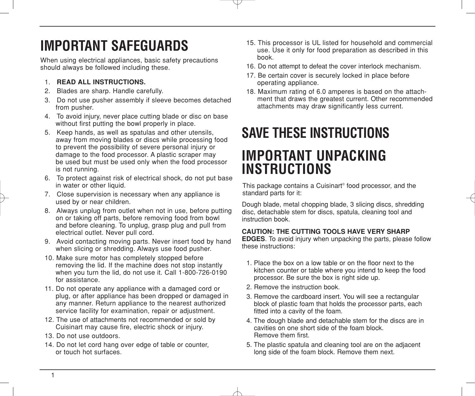# **IMPORTANT SAFEGUARDS**

When using electrical appliances, basic safety precautions should always be followed including these.

#### 1. **READ ALL INSTRUCTIONS.**

- 2. Blades are sharp. Handle carefully.
- 3. Do not use pusher assembly if sleeve becomes detached from pusher.
- 4. To avoid injury, never place cutting blade or disc on base without first putting the bowl properly in place.
- 5. Keep hands, as well as spatulas and other utensils, away from moving blades or discs while processing food to prevent the possibility of severe personal injury or damage to the food processor. A plastic scraper may be used but must be used only when the food processor is not running.
- 6. To protect against risk of electrical shock, do not put base in water or other liquid.
- 7. Close supervision is necessary when any appliance is used by or near children.
- 8. Always unplug from outlet when not in use, before putting on or taking off parts, before removing food from bowl and before cleaning. To unplug, grasp plug and pull from electrical outlet. Never pull cord.
- 9. Avoid contacting moving parts. Never insert food by hand when slicing or shredding. Always use food pusher.
- 10. Make sure motor has completely stopped before removing the lid. If the machine does not stop instantly when you turn the lid, do not use it. Call 1-800-726-0190 for assistance.
- 11. Do not operate any appliance with a damaged cord or plug, or after appliance has been dropped or damaged in any manner. Return appliance to the nearest authorized service facility for examination, repair or adjustment.
- 12. The use of attachments not recommended or sold by Cuisinart may cause fire, electric shock or injury.
- 13. Do not use outdoors.
- 14. Do not let cord hang over edge of table or counter, or touch hot surfaces.
- 15. This processor is UL listed for household and commercial use. Use it only for food preparation as described in this book.
- 16. Do not attempt to defeat the cover interlock mechanism.
- 17. Be certain cover is securely locked in place before operating appliance.
- 18. Maximum rating of 6.0 amperes is based on the attachment that draws the greatest current. Other recommended attachments may draw significantly less current.

## **SAVE THESE INSTRUCTIONS**

## **IMPORTANT UNPACKING INSTRUCTIONS**

This package contains a Cuisinart® food processor, and the standard parts for it:

Dough blade, metal chopping blade, 3 slicing discs, shredding disc, detachable stem for discs, spatula, cleaning tool and instruction book.

#### **CAUTION: THE CUTTING TOOLS HAVE VERY SHARP**

**EDGES**. To avoid injury when unpacking the parts, please follow these instructions:

- 1. Place the box on a low table or on the floor next to the kitchen counter or table where you intend to keep the food processor. Be sure the box is right side up.
- 2. Remove the instruction book.
- 3. Remove the cardboard insert. You will see a rectangular block of plastic foam that holds the processor parts, each fitted into a cavity of the foam.
- 4. The dough blade and detachable stem for the discs are in cavities on one short side of the foam block. Remove them first.
- 5. The plastic spatula and cleaning tool are on the adjacent long side of the foam block. Remove them next.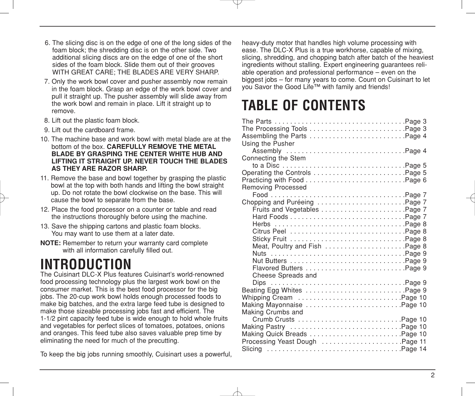- 6. The slicing disc is on the edge of one of the long sides of the foam block; the shredding disc is on the other side. Two additional slicing discs are on the edge of one of the short sides of the foam block. Slide them out of their grooves WITH GREAT CARE; THE BLADES ARE VERY SHARP.
- 7. Only the work bowl cover and pusher assembly now remain in the foam block. Grasp an edge of the work bowl cover and pull it straight up. The pusher assembly will slide away from the work bowl and remain in place. Lift it straight up to remove.
- 8. Lift out the plastic foam block.
- 9. Lift out the cardboard frame.
- 10. The machine base and work bowl with metal blade are at the bottom of the box. **CAREFULLY REMOVE THE METAL BLADE BY GRASPING THE CENTER WHITE HUB AND LIFTING IT STRAIGHT UP. NEVER TOUCH THE BLADES AS THEY ARE RAZOR SHARP.**
- 11. Remove the base and bowl together by grasping the plastic bowl at the top with both hands and lifting the bowl straight up. Do not rotate the bowl clockwise on the base. This will cause the bowl to separate from the base.
- 12. Place the food processor on a counter or table and read the instructions thoroughly before using the machine.
- 13. Save the shipping cartons and plastic foam blocks. You may want to use them at a later date.
- **NOTE:** Remember to return your warranty card complete with all information carefully filled out.

# **INTRODUCTION**

The Cuisinart DLC-X Plus features Cuisinart's world-renowned food processing technology plus the largest work bowl on the consumer market. This is the best food processor for the big jobs. The 20-cup work bowl holds enough processed foods to make big batches, and the extra large feed tube is designed to make those sizeable processing jobs fast and efficient. The 1-1/2 pint capacity feed tube is wide enough to hold whole fruits and vegetables for perfect slices of tomatoes, potatoes, onions and oranges. This feed tube also saves valuable prep time by eliminating the need for much of the precutting.

To keep the big jobs running smoothly, Cuisinart uses a powerful,

heavy-duty motor that handles high volume processing with ease. The DLC-X Plus is a true workhorse, capable of mixing, slicing, shredding, and chopping batch after batch of the heaviest ingredients without stalling. Expert engineering guarantees reliable operation and professional performance – even on the biggest jobs – for many years to come. Count on Cuisinart to let you Savor the Good Life™ with family and friends!

## **TABLE OF CONTENTS**

| Using the Pusher                                                                                                                          |  |
|-------------------------------------------------------------------------------------------------------------------------------------------|--|
| Connecting the Stem                                                                                                                       |  |
|                                                                                                                                           |  |
| <b>Removing Processed</b><br>Chopping and Puréeing Page 7<br>Fruits and Vegetables Page 7<br>Meat, Poultry and Fish Page 8<br>Nuts Page 9 |  |
| Cheese Spreads and<br>Beating Egg Whites Page 9<br>Whipping Cream Page 10<br>Making Mayonnaise Page 10<br>Making Crumbs and               |  |
| Crumb Crusts Page 10<br>Making Pastry Page 10<br>Processing Yeast Dough Page 11                                                           |  |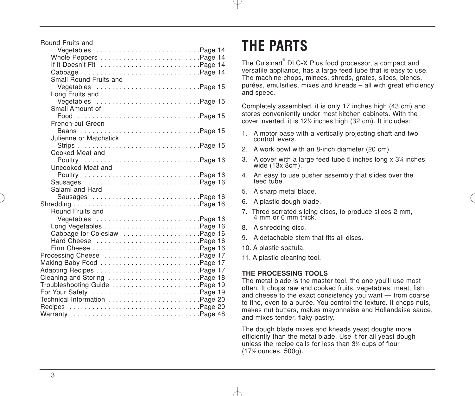| Round Fruits and             |
|------------------------------|
| Vegetables Page 14           |
|                              |
| If it Doesn't Fit Page 14    |
|                              |
| Small Round Fruits and       |
| Vegetables Page 15           |
| Long Fruits and              |
| Vegetables Page 15           |
| Small Amount of              |
| Food Page 15                 |
| French-cut Green             |
| Beans Page 15                |
| Julienne or Matchstick       |
|                              |
| Cooked Meat and              |
|                              |
| Uncooked Meat and            |
|                              |
|                              |
| Salami and Hard              |
| Sausages Page 16             |
|                              |
| Round Fruits and             |
|                              |
|                              |
| Cabbage for Coleslaw Page 16 |
| Hard Cheese Page 16          |
| Firm Cheese Page 16          |
| Processing Cheese Page 17    |
|                              |
|                              |
| Cleaning and Storing Page 18 |
|                              |
|                              |
|                              |
|                              |
|                              |

## **THE PARTS**

The Cuisinart® DLC-X Plus food processor, a compact and versatile appliance, has a large feed tube that is easy to use. The machine chops, minces, shreds, grates, slices, blends, purées, emulsifies, mixes and kneads – all with great efficiency and speed.

Completely assembled, it is only 17 inches high (43 cm) and stores conveniently under most kitchen cabinets. With the cover inverted, it is 121 ⁄2 inches high (32 cm). It includes:

- 1. A motor base with a vertically projecting shaft and two control levers.
- 2. A work bowl with an 8-inch diameter (20 cm).
- 3. A cover with a large feed tube 5 inches long x 3¼ inches wide (13x 8cm).
- 4. An easy to use pusher assembly that slides over the feed tube.
- 5. A sharp metal blade.
- 6. A plastic dough blade.
- 7. Three serrated slicing discs, to produce slices 2 mm, 4 mm or 6 mm thick.
- 8. A shredding disc.
- 9. A detachable stem that fits all discs.
- 10. A plastic spatula.
- 11. A plastic cleaning tool.

#### **THE PROCESSING TOOLS**

The metal blade is the master tool, the one you'll use most often. It chops raw and cooked fruits, vegetables, meat, fish and cheese to the exact consistency you want — from coarse to fine, even to a purée. You control the texture. It chops nuts, makes nut butters, makes mayonnaise and Hollandaise sauce, and mixes tender, flaky pastry.

The dough blade mixes and kneads yeast doughs more efficiently than the metal blade. Use it for all yeast dough unless the recipe calls for less than  $3\%$  cups of flour (171 ⁄2 ounces, 500g).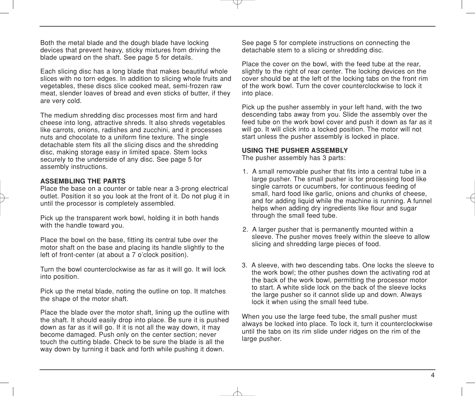Both the metal blade and the dough blade have locking devices that prevent heavy, sticky mixtures from driving the blade upward on the shaft. See page 5 for details.

Each slicing disc has a long blade that makes beautiful whole slices with no torn edges. In addition to slicing whole fruits and vegetables, these discs slice cooked meat, semi-frozen raw meat, slender loaves of bread and even sticks of butter, if they are very cold.

The medium shredding disc processes most firm and hard cheese into long, attractive shreds. It also shreds vegetables like carrots, onions, radishes and zucchini, and it processes nuts and chocolate to a uniform fine texture. The single detachable stem fits all the slicing discs and the shredding disc, making storage easy in limited space. Stem locks securely to the underside of any disc. See page 5 for assembly instructions.

#### **ASSEMBLING THE PARTS**

Place the base on a counter or table near a 3-prong electrical outlet. Position it so you look at the front of it. Do not plug it in until the processor is completely assembled.

Pick up the transparent work bowl, holding it in both hands with the handle toward you.

Place the bowl on the base, fitting its central tube over the motor shaft on the base and placing its handle slightly to the left of front-center (at about a 7 o'clock position).

Turn the bowl counterclockwise as far as it will go. It will lock into position.

Pick up the metal blade, noting the outline on top. It matches the shape of the motor shaft.

Place the blade over the motor shaft, lining up the outline with the shaft. It should easily drop into place. Be sure it is pushed down as far as it will go. If it is not all the way down, it may become damaged. Push only on the center section; never touch the cutting blade. Check to be sure the blade is all the way down by turning it back and forth while pushing it down.

See page 5 for complete instructions on connecting the detachable stem to a slicing or shredding disc.

Place the cover on the bowl, with the feed tube at the rear, slightly to the right of rear center. The locking devices on the cover should be at the left of the locking tabs on the front rim of the work bowl. Turn the cover counterclockwise to lock it into place.

Pick up the pusher assembly in your left hand, with the two descending tabs away from you. Slide the assembly over the feed tube on the work bowl cover and push it down as far as it will go. It will click into a locked position. The motor will not start unless the pusher assembly is locked in place.

#### **USING THE PUSHER ASSEMBLY**

The pusher assembly has 3 parts:

- 1. A small removable pusher that fits into a central tube in a large pusher. The small pusher is for processing food like single carrots or cucumbers, for continuous feeding of small, hard food like garlic, onions and chunks of cheese, and for adding liquid while the machine is running. A funnel helps when adding dry ingredients like flour and sugar through the small feed tube.
- 2. A larger pusher that is permanently mounted within a sleeve. The pusher moves freely within the sleeve to allow slicing and shredding large pieces of food.
- 3. A sleeve, with two descending tabs. One locks the sleeve to the work bowl; the other pushes down the activating rod at the back of the work bowl, permitting the processor motor to start. A white slide lock on the back of the sleeve locks the large pusher so it cannot slide up and down. Always lock it when using the small feed tube.

When you use the large feed tube, the small pusher must always be locked into place. To lock it, turn it counterclockwise until the tabs on its rim slide under ridges on the rim of the large pusher.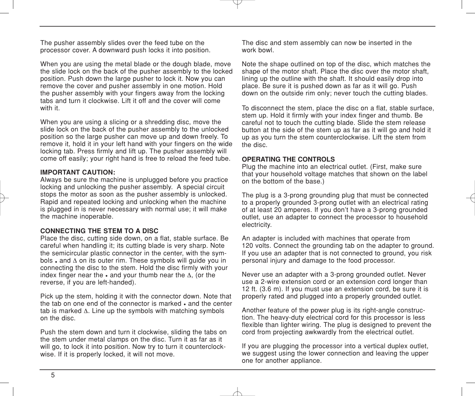The pusher assembly slides over the feed tube on the processor cover. A downward push locks it into position.

When you are using the metal blade or the dough blade, move the slide lock on the back of the pusher assembly to the locked position. Push down the large pusher to lock it. Now you can remove the cover and pusher assembly in one motion. Hold the pusher assembly with your fingers away from the locking tabs and turn it clockwise. Lift it off and the cover will come with it.

When you are using a slicing or a shredding disc, move the slide lock on the back of the pusher assembly to the unlocked position so the large pusher can move up and down freely. To remove it, hold it in your left hand with your fingers on the wide locking tab. Press firmly and lift up. The pusher assembly will come off easily; your right hand is free to reload the feed tube.

#### **IMPORTANT CAUTION:**

Always be sure the machine is unplugged before you practice locking and unlocking the pusher assembly. A special circuit stops the motor as soon as the pusher assembly is unlocked. Rapid and repeated locking and unlocking when the machine is plugged in is never necessary with normal use; it will make the machine inoperable.

#### **CONNECTING THE STEM TO A DISC**

Place the disc, cutting side down, on a flat, stable surface. Be careful when handling it; its cutting blade is very sharp. Note the semicircular plastic connector in the center, with the symbols • and ∆ on its outer rim. These symbols will guide you in connecting the disc to the stem. Hold the disc firmly with your index finger near the • and your thumb near the ∆, (or the reverse, if you are left-handed).

Pick up the stem, holding it with the connector down. Note that the tab on one end of the connector is marked • and the center tab is marked ∆. Line up the symbols with matching symbols on the disc.

Push the stem down and turn it clockwise, sliding the tabs on the stem under metal clamps on the disc. Turn it as far as it will go, to lock it into position. Now try to turn it counterclockwise. If it is properly locked, it will not move.

The disc and stem assembly can now be inserted in the work bowl.

Note the shape outlined on top of the disc, which matches the shape of the motor shaft. Place the disc over the motor shaft, lining up the outline with the shaft. It should easily drop into place. Be sure it is pushed down as far as it will go. Push down on the outside rim only; never touch the cutting blades.

To disconnect the stem, place the disc on a flat, stable surface, stem up. Hold it firmly with your index finger and thumb. Be careful not to touch the cutting blade. Slide the stem release button at the side of the stem up as far as it will go and hold it up as you turn the stem counterclockwise. Lift the stem from the disc.

#### **OPERATING THE CONTROLS**

Plug the machine into an electrical outlet. (First, make sure that your household voltage matches that shown on the label on the bottom of the base.)

The plug is a 3-prong grounding plug that must be connected to a properly grounded 3-prong outlet with an electrical rating of at least 20 amperes. If you don't have a 3-prong grounded outlet, use an adapter to connect the processor to household electricity.

An adapter is included with machines that operate from 120 volts. Connect the grounding tab on the adapter to ground. If you use an adapter that is not connected to ground, you risk personal injury and damage to the food processor.

Never use an adapter with a 3-prong grounded outlet. Never use a 2-wire extension cord or an extension cord longer than 12 ft. (3.6 m). If you must use an extension cord, be sure it is properly rated and plugged into a properly grounded outlet.

Another feature of the power plug is its right-angle construction. The heavy-duty electrical cord for this processor is less flexible than lighter wiring. The plug is designed to prevent the cord from projecting awkwardly from the electrical outlet.

If you are plugging the processor into a vertical duplex outlet, we suggest using the lower connection and leaving the upper one for another appliance.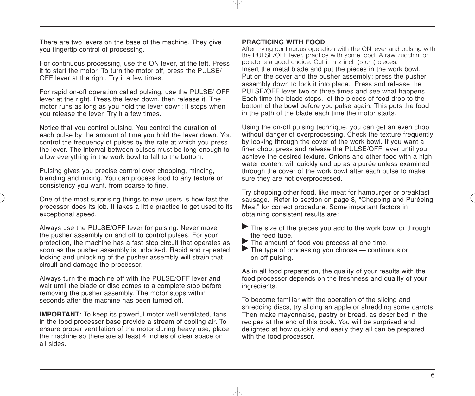There are two levers on the base of the machine. They give you fingertip control of processing.

For continuous processing, use the ON lever, at the left. Press it to start the motor. To turn the motor off, press the PULSE/ OFF lever at the right. Try it a few times.

For rapid on-off operation called pulsing, use the PULSE/ OFF lever at the right. Press the lever down, then release it. The motor runs as long as you hold the lever down; it stops when you release the lever. Try it a few times.

Notice that you control pulsing. You control the duration of each pulse by the amount of time you hold the lever down. You control the frequency of pulses by the rate at which you press the lever. The interval between pulses must be long enough to allow everything in the work bowl to fall to the bottom.

Pulsing gives you precise control over chopping, mincing, blending and mixing. You can process food to any texture or consistency you want, from coarse to fine.

One of the most surprising things to new users is how fast the processor does its job. It takes a little practice to get used to its exceptional speed.

Always use the PULSE/OFF lever for pulsing. Never move the pusher assembly on and off to control pulses. For your protection, the machine has a fast-stop circuit that operates as soon as the pusher assembly is unlocked. Rapid and repeated locking and unlocking of the pusher assembly will strain that circuit and damage the processor.

Always turn the machine off with the PULSE/OFF lever and wait until the blade or disc comes to a complete stop before removing the pusher assembly. The motor stops within seconds after the machine has been turned off.

**IMPORTANT:** To keep its powerful motor well ventilated, fans in the food processor base provide a stream of cooling air. To ensure proper ventilation of the motor during heavy use, place the machine so there are at least 4 inches of clear space on all sides.

#### **PRACTICING WITH FOOD**

After trying continuous operation with the ON lever and pulsing with the PULSE/OFF lever, practice with some food. A raw zucchini or potato is a good choice. Cut it in 2 inch (5 cm) pieces. Insert the metal blade and put the pieces in the work bowl. Put on the cover and the pusher assembly; press the pusher assembly down to lock it into place. Press and release the PULSE/OFF lever two or three times and see what happens. Each time the blade stops, let the pieces of food drop to the bottom of the bowl before you pulse again. This puts the food in the path of the blade each time the motor starts.

Using the on-off pulsing technique, you can get an even chop without danger of overprocessing. Check the texture frequently by looking through the cover of the work bowl. If you want a finer chop, press and release the PULSE/OFF lever until you achieve the desired texture. Onions and other food with a high water content will quickly end up as a purée unless examined through the cover of the work bowl after each pulse to make sure they are not overprocessed.

Try chopping other food, like meat for hamburger or breakfast sausage. Refer to section on page 8, "Chopping and Puréeing Meat" for correct procedure. Some important factors in obtaining consistent results are:

- The size of the pieces you add to the work bowl or through the feed tube.<br>
The amount of food you process at one time.<br>
The type of processing you choose — continuous or
- 
- on-off pulsing.

As in all food preparation, the quality of your results with the food processor depends on the freshness and quality of your ingredients.

To become familiar with the operation of the slicing and shredding discs, try slicing an apple or shredding some carrots. Then make mayonnaise, pastry or bread, as described in the recipes at the end of this book. You will be surprised and delighted at how quickly and easily they all can be prepared with the food processor.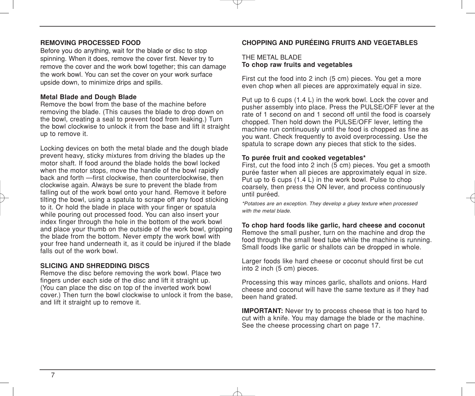#### **REMOVING PROCESSED FOOD**

Before you do anything, wait for the blade or disc to stop spinning. When it does, remove the cover first. Never try to remove the cover and the work bowl together; this can damage the work bowl. You can set the cover on your work surface upside down, to minimize drips and spills.

#### **Metal Blade and Dough Blade**

Remove the bowl from the base of the machine before removing the blade. (This causes the blade to drop down on the bowl, creating a seal to prevent food from leaking.) Turn the bowl clockwise to unlock it from the base and lift it straight up to remove it.

Locking devices on both the metal blade and the dough blade prevent heavy, sticky mixtures from driving the blades up the motor shaft. If food around the blade holds the bowl locked when the motor stops, move the handle of the bowl rapidly back and forth —first clockwise, then counterclockwise, then clockwise again. Always be sure to prevent the blade from falling out of the work bowl onto your hand. Remove it before tilting the bowl, using a spatula to scrape off any food sticking to it. Or hold the blade in place with your finger or spatula while pouring out processed food. You can also insert your index finger through the hole in the bottom of the work bowl and place your thumb on the outside of the work bowl, gripping the blade from the bottom. Never empty the work bowl with your free hand underneath it, as it could be injured if the blade falls out of the work bowl.

#### **SLICING AND SHREDDING DISCS**

Remove the disc before removing the work bowl. Place two fingers under each side of the disc and lift it straight up. (You can place the disc on top of the inverted work bowl cover.) Then turn the bowl clockwise to unlock it from the base, and lift it straight up to remove it.

#### **CHOPPING AND PURÉEING FRUITS AND VEGETABLES**

#### THE METAL BLADE **To chop raw fruits and vegetables**

First cut the food into 2 inch (5 cm) pieces. You get a more even chop when all pieces are approximately equal in size.

Put up to 6 cups (1.4 L) in the work bowl. Lock the cover and pusher assembly into place. Press the PULSE/OFF lever at the rate of 1 second on and 1 second off until the food is coarsely chopped. Then hold down the PULSE/OFF lever, letting the machine run continuously until the food is chopped as fine as you want. Check frequently to avoid overprocessing. Use the spatula to scrape down any pieces that stick to the sides.

#### **To purée fruit and cooked vegetables\***

First, cut the food into 2 inch (5 cm) pieces. You get a smooth purée faster when all pieces are approximately equal in size. Put up to 6 cups (1.4 L) in the work bowl. Pulse to chop coarsely, then press the ON lever, and process continuously until puréed.

*\*Potatoes are an exception. They develop a gluey texture when processed with the metal blade.*

#### **To chop hard foods like garlic, hard cheese and coconut**

Remove the small pusher, turn on the machine and drop the food through the small feed tube while the machine is running. Small foods like garlic or shallots can be dropped in whole.

Larger foods like hard cheese or coconut should first be cut into 2 inch (5 cm) pieces.

Processing this way minces garlic, shallots and onions. Hard cheese and coconut will have the same texture as if they had been hand grated.

**IMPORTANT:** Never try to process cheese that is too hard to cut with a knife. You may damage the blade or the machine. See the cheese processing chart on page 17.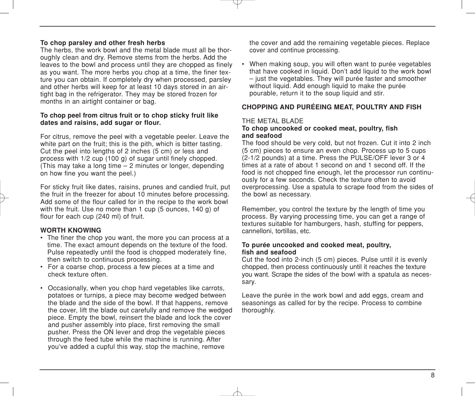#### **To chop parsley and other fresh herbs**

The herbs, the work bowl and the metal blade must all be thoroughly clean and dry. Remove stems from the herbs. Add the leaves to the bowl and process until they are chopped as finely as you want. The more herbs you chop at a time, the finer texture you can obtain. If completely dry when processed, parsley and other herbs will keep for at least 10 days stored in an airtight bag in the refrigerator. They may be stored frozen for months in an airtight container or bag.

#### **To chop peel from citrus fruit or to chop sticky fruit like dates and raisins, add sugar or flour.**

For citrus, remove the peel with a vegetable peeler. Leave the white part on the fruit; this is the pith, which is bitter tasting. Cut the peel into lengths of 2 inches (5 cm) or less and process with 1/2 cup (100 g) of sugar until finely chopped. (This may take a long time – 2 minutes or longer, depending on how fine you want the peel.)

For sticky fruit like dates, raisins, prunes and candied fruit, put the fruit in the freezer for about 10 minutes before processing. Add some of the flour called for in the recipe to the work bowl with the fruit. Use no more than 1 cup (5 ounces, 140 g) of flour for each cup (240 ml) of fruit.

#### **WORTH KNOWING**

- The finer the chop you want, the more you can process at a time. The exact amount depends on the texture of the food. Pulse repeatedly until the food is chopped moderately fine, then switch to continuous processing.
- For a coarse chop, process a few pieces at a time and check texture often.
- Occasionally, when you chop hard vegetables like carrots, potatoes or turnips, a piece may become wedged between the blade and the side of the bowl. If that happens, remove the cover, lift the blade out carefully and remove the wedged piece. Empty the bowl, reinsert the blade and lock the cover and pusher assembly into place, first removing the small pusher. Press the ON lever and drop the vegetable pieces through the feed tube while the machine is running. After you've added a cupful this way, stop the machine, remove

the cover and add the remaining vegetable pieces. Replace cover and continue processing.

• When making soup, you will often want to purée vegetables that have cooked in liquid. Don't add liquid to the work bowl – just the vegetables. They will purée faster and smoother without liquid. Add enough liquid to make the purée pourable, return it to the soup liquid and stir.

#### **CHOPPING AND PURÉEING MEAT, POULTRY AND FISH**

#### THE METAL BLADE

#### **To chop uncooked or cooked meat, poultry, fish and seafood**

The food should be very cold, but not frozen. Cut it into 2 inch (5 cm) pieces to ensure an even chop. Process up to 5 cups (2-1/2 pounds) at a time. Press the PULSE/OFF lever 3 or 4 times at a rate of about 1 second on and 1 second off. If the food is not chopped fine enough, let the processor run continuously for a few seconds. Check the texture often to avoid overprocessing. Use a spatula to scrape food from the sides of the bowl as necessary.

Remember, you control the texture by the length of time you process. By varying processing time, you can get a range of textures suitable for hamburgers, hash, stuffing for peppers, cannelloni, tortillas, etc.

#### **To purée uncooked and cooked meat, poultry, fish and seafood**

Cut the food into 2-inch (5 cm) pieces. Pulse until it is evenly chopped, then process continuously until it reaches the texture you want. Scrape the sides of the bowl with a spatula as necessary.

Leave the purée in the work bowl and add eggs, cream and seasonings as called for by the recipe. Process to combine thoroughly.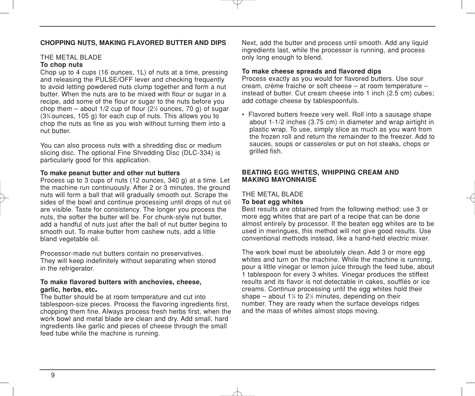#### **CHOPPING NUTS, MAKING FLAVORED BUTTER AND DIPS**

#### THE METAL BLADE **To chop nuts**

Chop up to 4 cups (16 ounces, 1L) of nuts at a time, pressing and releasing the PULSE/OFF lever and checking frequently to avoid letting powdered nuts clump together and form a nut butter. When the nuts are to be mixed with flour or sugar in a recipe, add some of the flour or sugar to the nuts before you chop them – about 1/2 cup of flour (21 ⁄2 ounces, 70 g) of sugar (33 ⁄4 ounces, 105 g) for each cup of nuts. This allows you to chop the nuts as fine as you wish without turning them into a nut butter.

You can also process nuts with a shredding disc or medium slicing disc. The optional Fine Shredding Disc (DLC-334) is particularly good for this application.

#### **To make peanut butter and other nut butters**

Process up to 3 cups of nuts (12 ounces, 340 g) at a time. Let the machine run continuously. After 2 or 3 minutes, the ground nuts will form a ball that will gradually smooth out. Scrape the sides of the bowl and continue processing until drops of nut oil are visible. Taste for consistency. The longer you process the nuts, the softer the butter will be. For chunk-style nut butter, add a handful of nuts just after the ball of nut butter begins to smooth out. To make butter from cashew nuts, add a little bland vegetable oil.

Processor-made nut butters contain no preservatives. They will keep indefinitely without separating when stored in the refrigerator.

## **To make flavored butters with anchovies, cheese,**

The butter should be at room temperature and cut into tablespoon-size pieces. Process the flavoring ingredients first, chopping them fine. Always process fresh herbs first, when the work bowl and metal blade are clean and dry. Add small, hard ingredients like garlic and pieces of cheese through the small feed tube while the machine is running.

Next, add the butter and process until smooth. Add any liquid ingredients last, while the processor is running, and process only long enough to blend.

#### **To make cheese spreads and flavored dips**

Process exactly as you would for flavored butters. Use sour cream, crème fraiche or soft cheese – at room temperature – instead of butter. Cut cream cheese into 1 inch (2.5 cm) cubes; add cottage cheese by tablespoonfuls.

• Flavored butters freeze very well. Roll into a sausage shape about 1-1/2 inches (3.75 cm) in diameter and wrap airtight in plastic wrap. To use, simply slice as much as you want from the frozen roll and return the remainder to the freezer. Add to sauces, soups or casseroles or put on hot steaks, chops or grilled fish.

#### **BEATING EGG WHITES, WHIPPING CREAM AND MAKING MAYONNAISE**

#### THE METAL BLADE

#### **To beat egg whites**

Best results are obtained from the following method: use 3 or more egg whites that are part of a recipe that can be done almost entirely by processor. If the beaten egg whites are to be used in meringues, this method will not give good results. Use conventional methods instead, like a hand-held electric mixer.

The work bowl must be absolutely clean. Add 3 or more egg whites and turn on the machine. While the machine is running. pour a little vinegar or lemon juice through the feed tube, about 1 tablespoon for every 3 whites. Vinegar produces the stiffest results and its flavor is not detectable in cakes, soufflés or ice creams. Continue processing until the egg whites hold their shape – about 1¼ to 2½ minutes, depending on their number. They are ready when the surface develops ridges and the mass of whites almost stops moving.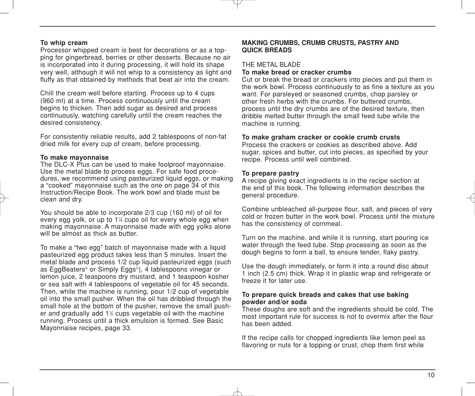#### **To whip cream**

Processor whipped cream is best for decorations or as a topping for gingerbread, berries or other desserts. Because no air is incorporated into it during processing, it will hold its shape very well, although it will not whip to a consistency as light and fluffy as that obtained by methods that beat air into the cream.

Chill the cream well before starting. Process up to 4 cups (960 ml) at a time. Process continuously until the cream begins to thicken. Then add sugar as desired and process continuously, watching carefully until the cream reaches the desired consistency.

For consistently reliable results, add 2 tablespoons of non-fat dried milk for every cup of cream, before processing.

#### **To make mayonnaise**

The DLC-X Plus can be used to make foolproof mayonnaise. Use the metal blade to process eggs. For safe food procedures, we recommend using pasteurized liquid eggs, or making a "cooked" mayonnaise such as the one on page 34 of this Instruction/Recipe Book. The work bowl and blade must be clean and dry.

You should be able to incorporate 2/3 cup (160 ml) of oil for every egg yolk, or up to 11 ⁄4 cups oil for every whole egg when making mayonnaise. A mayonnaise made with egg yolks alone will be almost as thick as butter.

To make a "two egg" batch of mayonnaise made with a liquid pasteurized egg product takes less than 5 minutes. Insert the metal blade and process 1/2 cup liquid pasteurized eggs (such as EggBeaters® or Simply Eggs®), 4 tablespoons vinegar or lemon juice, 2 teaspoons dry mustard, and 1 teaspoon kosher or sea salt with 4 tablespoons of vegetable oil for 45 seconds. Then, while the machine is running, pour 1/2 cup of vegetable oil into the small pusher. When the oil has dribbled through the small hole at the bottom of the pusher, remove the small pusher and gradually add 1½ cups vegetable oil with the machine running. Process until a thick emulsion is formed. See Basic Mayonnaise recipes, page 33.

#### **MAKING CRUMBS, CRUMB CRUSTS, PASTRY AND QUICK BREADS**

#### THE METAL BLADE

#### **To make bread or cracker crumbs**

Cut or break the bread or crackers into pieces and put them in the work bowl. Process continuously to as fine a texture as you want. For parsleyed or seasoned crumbs, chop parsley or other fresh herbs with the crumbs. For buttered crumbs, process until the dry crumbs are of the desired texture, then dribble melted butter through the small feed tube while the machine is running.

#### **To make graham cracker or cookie crumb crusts**

Process the crackers or cookies as described above. Add sugar, spices and butter, cut into pieces, as specified by your recipe. Process until well combined.

#### **To prepare pastry**

A recipe giving exact ingredients is in the recipe section at the end of this book. The following information describes the general procedure.

Combine unbleached all-purpose flour, salt, and pieces of very cold or frozen butter in the work bowl. Process until the mixture has the consistency of cornmeal.

Turn on the machine, and while it is running, start pouring ice water through the feed tube. Stop processing as soon as the dough begins to form a ball, to ensure tender, flaky pastry.

Use the dough immediately, or form it into a round disc about 1 inch (2.5 cm) thick. Wrap it in plastic wrap and refrigerate or freeze it for later use.

#### **To prepare quick breads and cakes that use baking powder and/or soda**

These doughs are soft and the ingredients should be cold. The most important rule for success is not to overmix after the flour has been added.

If the recipe calls for chopped ingredients like lemon peel as flavoring or nuts for a topping or crust, chop them first while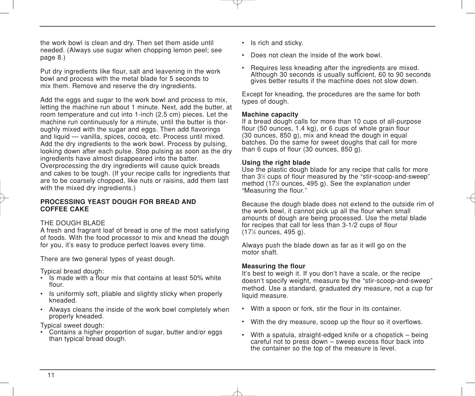the work bowl is clean and dry. Then set them aside until needed. (Always use sugar when chopping lemon peel; see page 8.)

Put dry ingredients like flour, salt and leavening in the work bowl and process with the metal blade for 5 seconds to mix them. Remove and reserve the dry ingredients.

Add the eggs and sugar to the work bowl and process to mix, letting the machine run about 1 minute. Next, add the butter, at room temperature and cut into 1-inch (2.5 cm) pieces. Let the machine run continuously for a minute, until the butter is thoroughly mixed with the sugar and eggs. Then add flavorings and liquid — vanilla, spices, cocoa, etc. Process until mixed. Add the dry ingredients to the work bowl. Process by pulsing, looking down after each pulse. Stop pulsing as soon as the dry ingredients have almost disappeared into the batter. Overprocessing the dry ingredients will cause quick breads and cakes to be tough. (If your recipe calls for ingredients that are to be coarsely chopped, like nuts or raisins, add them last with the mixed dry ingredients.)

#### **PROCESSING YEAST DOUGH FOR BREAD AND COFFEE CAKE**

#### THE DOUGH BLADE

A fresh and fragrant loaf of bread is one of the most satisfying of foods. With the food processor to mix and knead the dough for you, it's easy to produce perfect loaves every time.

There are two general types of yeast dough.

Typical bread dough:

- $\cdot$  Is made with a flour mix that contains at least 50% white flour.
- Is uniformly soft, pliable and slightly sticky when properly kneaded.
- Always cleans the inside of the work bowl completely when properly kneaded.

Typical sweet dough:

• Contains a higher proportion of sugar, butter and/or eggs than typical bread dough.

- Is rich and sticky.
- Does not clean the inside of the work bowl.
- Requires less kneading after the ingredients are mixed. Although 30 seconds is usually sufficient, 60 to 90 seconds gives better results if the machine does not slow down.

Except for kneading, the procedures are the same for both types of dough.

#### **Machine capacity**

If a bread dough calls for more than 10 cups of all-purpose flour (50 ounces, 1.4 kg), or 6 cups of whole grain flour (30 ounces, 850 g), mix and knead the dough in equal batches. Do the same for sweet doughs that call for more than 6 cups of flour (30 ounces, 850 g).

#### **Using the right blade**

Use the plastic dough blade for any recipe that calls for more than 31 ⁄2 cups of flour measured by the "stir-scoop-and-sweep" method (171 ⁄2 ounces, 495 g). See the explanation under "Measuring the flour."

Because the dough blade does not extend to the outside rim of the work bowl, it cannot pick up all the flour when small amounts of dough are being processed. Use the metal blade for recipes that call for less than 3-1/2 cups of flour (171 ⁄2 ounces, 495 g).

Always push the blade down as far as it will go on the motor shaft.

#### **Measuring the flour**

It's best to weigh it. If you don't have a scale, or the recipe doesn't specify weight, measure by the "stir-scoop-and-sweep" method. Use a standard, graduated dry measure, not a cup for liquid measure.

- With a spoon or fork, stir the flour in its container.
- With the dry measure, scoop up the flour so it overflows.
- With a spatula, straight-edged knife or a chopstick being careful not to press down – sweep excess flour back into the container so the top of the measure is level.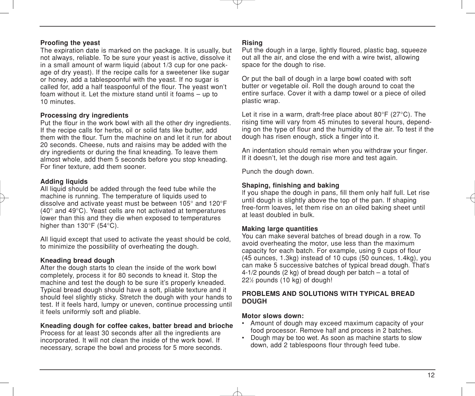#### **Proofing the yeast**

The expiration date is marked on the package. It is usually, but not always, reliable. To be sure your yeast is active, dissolve it in a small amount of warm liquid (about 1/3 cup for one package of dry yeast). If the recipe calls for a sweetener like sugar or honey, add a tablespoonful with the yeast. If no sugar is called for, add a half teaspoonful of the flour. The yeast won't foam without it. Let the mixture stand until it foams – up to 10 minutes.

#### **Processing dry ingredients**

Put the flour in the work bowl with all the other dry ingredients. If the recipe calls for herbs, oil or solid fats like butter, add them with the flour. Turn the machine on and let it run for about 20 seconds. Cheese, nuts and raisins may be added with the dry ingredients or during the final kneading. To leave them almost whole, add them 5 seconds before you stop kneading. For finer texture, add them sooner.

#### **Adding liquids**

All liquid should be added through the feed tube while the machine is running. The temperature of liquids used to dissolve and activate yeast must be between 105° and 120°F (40° and 49°C). Yeast cells are not activated at temperatures lower than this and they die when exposed to temperatures higher than 130°F (54°C).

All liquid except that used to activate the yeast should be cold, to minimize the possibility of overheating the dough.

#### **Kneading bread dough**

After the dough starts to clean the inside of the work bowl completely, process it for 80 seconds to knead it. Stop the machine and test the dough to be sure it's properly kneaded. Typical bread dough should have a soft, pliable texture and it should feel slightly sticky. Stretch the dough with your hands to test. If it feels hard, lumpy or uneven, continue processing until it feels uniformly soft and pliable.

#### **Kneading dough for coffee cakes, batter bread and brioche**

Process for at least 30 seconds after all the ingredients are incorporated. It will not clean the inside of the work bowl. If necessary, scrape the bowl and process for 5 more seconds.

#### **Rising**

Put the dough in a large, lightly floured, plastic bag, squeeze out all the air, and close the end with a wire twist, allowing space for the dough to rise.

Or put the ball of dough in a large bowl coated with soft butter or vegetable oil. Roll the dough around to coat the entire surface. Cover it with a damp towel or a piece of oiled plastic wrap.

Let it rise in a warm, draft-free place about 80°F (27°C). The rising time will vary from 45 minutes to several hours, depending on the type of flour and the humidity of the air. To test if the dough has risen enough, stick a finger into it.

An indentation should remain when you withdraw your finger. If it doesn't, let the dough rise more and test again.

Punch the dough down.

#### **Shaping, finishing and baking**

If you shape the dough in pans, fill them only half full. Let rise until dough is slightly above the top of the pan. If shaping free-form loaves, let them rise on an oiled baking sheet until at least doubled in bulk.

#### **Making large quantities**

You can make several batches of bread dough in a row. To avoid overheating the motor, use less than the maximum capacity for each batch. For example, using 9 cups of flour (45 ounces, 1.3kg) instead of 10 cups (50 ounces, 1.4kg), you can make 5 successive batches of typical bread dough. That's 4-1/2 pounds (2 kg) of bread dough per batch – a total of 221 ⁄2 pounds (10 kg) of dough!

#### **PROBLEMS AND SOLUTIONS WITH TYPICAL BREAD DOUGH**

#### **Motor slows down:**

- Amount of dough may exceed maximum capacity of your food processor. Remove half and process in 2 batches.
- Dough may be too wet. As soon as machine starts to slow down, add 2 tablespoons flour through feed tube.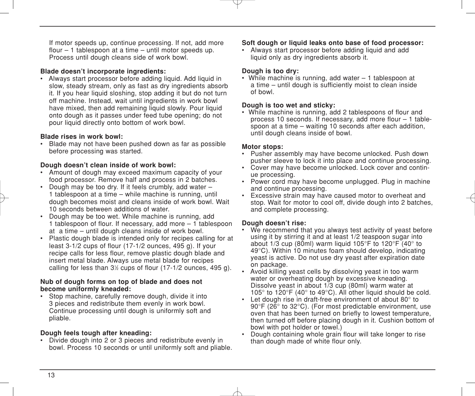If motor speeds up, continue processing. If not, add more flour – 1 tablespoon at a time – until motor speeds up. Process until dough cleans side of work bowl.

#### **Blade doesn't incorporate ingredients:**

• Always start processor before adding liquid. Add liquid in slow, steady stream, only as fast as dry ingredients absorb it. If you hear liquid sloshing, stop adding it but do not turn off machine. Instead, wait until ingredients in work bowl have mixed, then add remaining liquid slowly. Pour liquid onto dough as it passes under feed tube opening; do not pour liquid directly onto bottom of work bowl.

#### **Blade rises in work bowl:**

• Blade may not have been pushed down as far as possible before processing was started.

#### **Dough doesn't clean inside of work bowl:**

- Amount of dough may exceed maximum capacity of your food processor. Remove half and process in 2 batches.
- Dough may be too dry. If it feels crumbly, add water 1 tablespoon at a time – while machine is running, until dough becomes moist and cleans inside of work bowl. Wait 10 seconds between additions of water.
- Dough may be too wet. While machine is running, add 1 tablespoon of flour. If necessary, add more – 1 tablespoon at a time – until dough cleans inside of work bowl.
- Plastic dough blade is intended only for recipes calling for at least 3-1/2 cups of flour (17-1/2 ounces, 495 g). If your recipe calls for less flour, remove plastic dough blade and insert metal blade. Always use metal blade for recipes calling for less than 31 ⁄2 cups of flour (17-1/2 ounces, 495 g).

#### **Nub of dough forms on top of blade and does not become uniformly kneaded:**

• Stop machine, carefully remove dough, divide it into 3 pieces and redistribute them evenly in work bowl. Continue processing until dough is uniformly soft and pliable.

#### **Dough feels tough after kneading:**

• Divide dough into 2 or 3 pieces and redistribute evenly in bowl. Process 10 seconds or until uniformly soft and pliable.

#### **Soft dough or liquid leaks onto base of food processor:**

• Always start processor before adding liquid and add liquid only as dry ingredients absorb it.

#### **Dough is too dry:**

• While machine is running, add water – 1 tablespoon at a time – until dough is sufficiently moist to clean inside of bowl.

#### **Dough is too wet and sticky:**

• While machine is running, add 2 tablespoons of flour and process 10 seconds. If necessary, add more flour – 1 tablespoon at a time – waiting 10 seconds after each addition, until dough cleans inside of bowl.

#### **Motor stops:**

- Pusher assembly may have become unlocked. Push down pusher sleeve to lock it into place and continue processing.
- Cover may have become unlocked. Lock cover and continue processing.
- Power cord may have become unplugged. Plug in machine and continue processing.
- Excessive strain may have caused motor to overheat and stop. Wait for motor to cool off, divide dough into 2 batches. and complete processing.

#### **Dough doesn't rise:**

- We recommend that you always test activity of yeast before using it by stirring it and at least 1/2 teaspoon sugar into about 1/3 cup (80ml) warm liquid 105°F to 120°F (40° to 49°C). Within 10 minutes foam should develop, indicating yeast is active. Do not use dry yeast after expiration date on package.
- Avoid killing yeast cells by dissolving yeast in too warm water or overheating dough by excessive kneading. Dissolve yeast in about 1/3 cup (80ml) warm water at 105° to 120°F (40° to 49°C). All other liquid should be cold.
- Let dough rise in draft-free environment of about 80° to 90°F (26° to 32°C). (For most predictable environment, use oven that has been turned on briefly to lowest temperature, then turned off before placing dough in it. Cushion bottom of bowl with pot holder or towel.)
- Dough containing whole grain flour will take longer to rise than dough made of white flour only.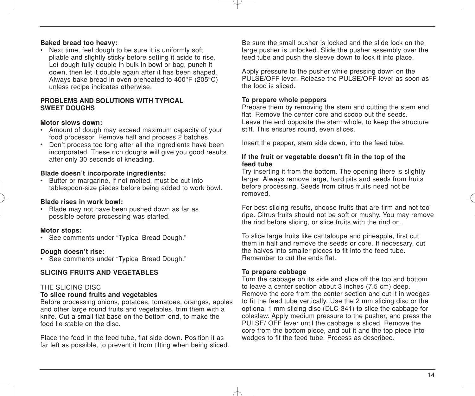#### **Baked bread too heavy:**

• Next time, feel dough to be sure it is uniformly soft. pliable and slightly sticky before setting it aside to rise. Let dough fully double in bulk in bowl or bag, punch it down, then let it double again after it has been shaped. Always bake bread in oven preheated to 400°F (205°C) unless recipe indicates otherwise.

#### **PROBLEMS AND SOLUTIONS WITH TYPICAL SWEET DOUGHS**

#### **Motor slows down:**

- Amount of dough may exceed maximum capacity of your food processor. Remove half and process 2 batches.
- Don't process too long after all the ingredients have been incorporated. These rich doughs will give you good results after only 30 seconds of kneading.

#### **Blade doesn't incorporate ingredients:**

• Butter or margarine, if not melted, must be cut into tablespoon-size pieces before being added to work bowl.

#### **Blade rises in work bowl:**

• Blade may not have been pushed down as far as possible before processing was started.

#### **Motor stops:**

• See comments under "Typical Bread Dough."

#### **Dough doesn't rise:**

• See comments under "Typical Bread Dough."

#### **SLICING FRUITS AND VEGETABLES**

#### THE SLICING DISC

#### **To slice round fruits and vegetables**

Before processing onions, potatoes, tomatoes, oranges, apples and other large round fruits and vegetables, trim them with a knife. Cut a small flat base on the bottom end, to make the food lie stable on the disc.

Place the food in the feed tube, flat side down. Position it as far left as possible, to prevent it from tilting when being sliced. Be sure the small pusher is locked and the slide lock on the large pusher is unlocked. Slide the pusher assembly over the feed tube and push the sleeve down to lock it into place.

Apply pressure to the pusher while pressing down on the PULSE/OFF lever. Release the PULSE/OFF lever as soon as the food is sliced.

#### **To prepare whole peppers**

Prepare them by removing the stem and cutting the stem end flat. Remove the center core and scoop out the seeds. Leave the end opposite the stem whole, to keep the structure stiff. This ensures round, even slices.

Insert the pepper, stem side down, into the feed tube.

#### **If the fruit or vegetable doesn't fit in the top of the feed tube**

Try inserting it from the bottom. The opening there is slightly larger. Always remove large, hard pits and seeds from fruits before processing. Seeds from citrus fruits need not be removed.

For best slicing results, choose fruits that are firm and not too ripe. Citrus fruits should not be soft or mushy. You may remove the rind before slicing, or slice fruits with the rind on.

To slice large fruits like cantaloupe and pineapple, first cut them in half and remove the seeds or core. If necessary, cut the halves into smaller pieces to fit into the feed tube. Remember to cut the ends flat.

#### **To prepare cabbage**

Turn the cabbage on its side and slice off the top and bottom to leave a center section about 3 inches (7.5 cm) deep. Remove the core from the center section and cut it in wedges to fit the feed tube vertically. Use the 2 mm slicing disc or the optional 1 mm slicing disc (DLC-341) to slice the cabbage for coleslaw. Apply medium pressure to the pusher, and press the PULSE/ OFF lever until the cabbage is sliced. Remove the core from the bottom piece, and cut it and the top piece into wedges to fit the feed tube. Process as described.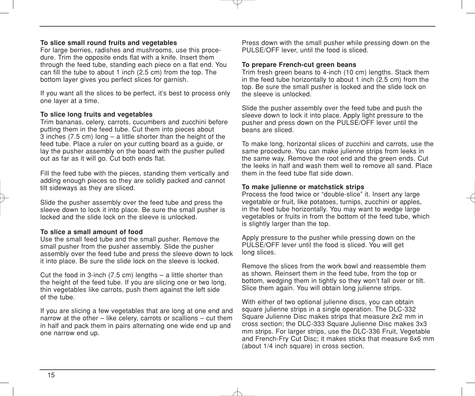#### **To slice small round fruits and vegetables**

For large berries, radishes and mushrooms, use this procedure. Trim the opposite ends flat with a knife. Insert them through the feed tube, standing each piece on a flat end. You can fill the tube to about 1 inch (2.5 cm) from the top. The bottom layer gives you perfect slices for garnish.

If you want all the slices to be perfect, it's best to process only one layer at a time.

#### **To slice long fruits and vegetables**

Trim bananas, celery, carrots, cucumbers and zucchini before putting them in the feed tube. Cut them into pieces about  $\overline{3}$  inches (7.5 cm) long – a little shorter than the height of the feed tube. Place a ruler on your cutting board as a guide, or lay the pusher assembly on the board with the pusher pulled out as far as it will go. Cut both ends flat.

Fill the feed tube with the pieces, standing them vertically and adding enough pieces so they are solidly packed and cannot tilt sideways as they are sliced.

Slide the pusher assembly over the feed tube and press the sleeve down to lock it into place. Be sure the small pusher is locked and the slide lock on the sleeve is unlocked.

#### **To slice a small amount of food**

Use the small feed tube and the small pusher. Remove the small pusher from the pusher assembly. Slide the pusher assembly over the feed tube and press the sleeve down to lock it into place. Be sure the slide lock on the sleeve is locked.

Cut the food in 3-inch  $(7.5 \text{ cm})$  lengths  $-$  a little shorter than the height of the feed tube. If you are slicing one or two long, thin vegetables like carrots, push them against the left side of the tube.

If you are slicing a few vegetables that are long at one end and narrow at the other – like celery, carrots or scallions – cut them in half and pack them in pairs alternating one wide end up and one narrow end up.

Press down with the small pusher while pressing down on the PULSE/OFF lever, until the food is sliced.

#### **To prepare French-cut green beans**

Trim fresh green beans to 4-inch (10 cm) lengths. Stack them in the feed tube horizontally to about 1 inch (2.5 cm) from the top. Be sure the small pusher is locked and the slide lock on the sleeve is unlocked.

Slide the pusher assembly over the feed tube and push the sleeve down to lock it into place. Apply light pressure to the pusher and press down on the PULSE/OFF lever until the beans are sliced.

To make long, horizontal slices of zucchini and carrots, use the same procedure. You can make julienne strips from leeks in the same way. Remove the root end and the green ends. Cut the leeks in half and wash them well to remove all sand. Place them in the feed tube flat side down.

#### **To make julienne or matchstick strips**

Process the food twice or "double-slice" it. Insert any large vegetable or fruit, like potatoes, turnips, zucchini or apples, in the feed tube horizontally. You may want to wedge large vegetables or fruits in from the bottom of the feed tube, which is slightly larger than the top.

Apply pressure to the pusher while pressing down on the PULSE/OFF lever until the food is sliced. You will get long slices.

Remove the slices from the work bowl and reassemble them as shown. Reinsert them in the feed tube, from the top or bottom, wedging them in tightly so they won't fall over or tilt. Slice them again. You will obtain long julienne strips.

With either of two optional julienne discs, you can obtain square julienne strips in a single operation. The DLC-332 Square Julienne Disc makes strips that measure 2x2 mm in cross section; the DLC-333 Square Julienne Disc makes 3x3 mm strips. For larger strips, use the DLC-336 Fruit, Vegetable and French-Fry Cut Disc; it makes sticks that measure 6x6 mm (about 1/4 inch square) in cross section.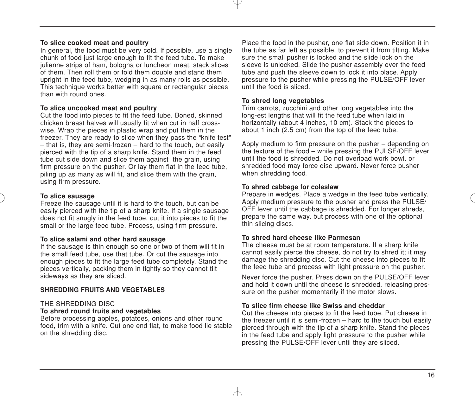#### **To slice cooked meat and poultry**

In general, the food must be very cold. If possible, use a single chunk of food just large enough to fit the feed tube. To make julienne strips of ham, bologna or luncheon meat, stack slices of them. Then roll them or fold them double and stand them upright in the feed tube, wedging in as many rolls as possible. This technique works better with square or rectangular pieces than with round ones.

#### **To slice uncooked meat and poultry**

Cut the food into pieces to fit the feed tube. Boned, skinned chicken breast halves will usually fit when cut in half crosswise. Wrap the pieces in plastic wrap and put them in the freezer. They are ready to slice when they pass the "knife test" – that is, they are semi-frozen – hard to the touch, but easily pierced with the tip of a sharp knife. Stand them in the feed tube cut side down and slice them against the grain, using firm pressure on the pusher. Or lay them flat in the feed tube, piling up as many as will fit, and slice them with the grain, using firm pressure.

#### **To slice sausage**

Freeze the sausage until it is hard to the touch, but can be easily pierced with the tip of a sharp knife. If a single sausage does not fit snugly in the feed tube, cut it into pieces to fit the small or the large feed tube. Process, using firm pressure.

#### **To slice salami and other hard sausage**

If the sausage is thin enough so one or two of them will fit in the small feed tube, use that tube. Or cut the sausage into enough pieces to fit the large feed tube completely. Stand the pieces vertically, packing them in tightly so they cannot tilt sideways as they are sliced.

#### **SHREDDING FRUITS AND VEGETABLES**

#### THE SHREDDING DISC

#### **To shred round fruits and vegetables**

Before processing apples, potatoes, onions and other round food, trim with a knife. Cut one end flat, to make food lie stable on the shredding disc.

Place the food in the pusher, one flat side down. Position it in the tube as far left as possible, to prevent it from tilting. Make sure the small pusher is locked and the slide lock on the sleeve is unlocked. Slide the pusher assembly over the feed tube and push the sleeve down to lock it into place. Apply pressure to the pusher while pressing the PULSE/OFF lever until the food is sliced.

#### **To shred long vegetables**

Trim carrots, zucchini and other long vegetables into the long-est lengths that will fit the feed tube when laid in horizontally (about 4 inches, 10 cm). Stack the pieces to about 1 inch (2.5 cm) from the top of the feed tube.

Apply medium to firm pressure on the pusher – depending on the texture of the food – while pressing the PULSE/OFF lever until the food is shredded. Do not overload work bowl, or shredded food may force disc upward. Never force pusher when shredding food*.*

#### **To shred cabbage for coleslaw**

Prepare in wedges. Place a wedge in the feed tube vertically. Apply medium pressure to the pusher and press the PULSE/ OFF lever until the cabbage is shredded. For longer shreds, prepare the same way, but process with one of the optional thin slicing discs.

#### **To shred hard cheese like Parmesan**

The cheese must be at room temperature. If a sharp knife cannot easily pierce the cheese, do not try to shred it; it may damage the shredding disc. Cut the cheese into pieces to fit the feed tube and process with light pressure on the pusher.

Never force the pusher. Press down on the PULSE/OFF lever and hold it down until the cheese is shredded, releasing pressure on the pusher momentarily if the motor slows.

#### **To slice firm cheese like Swiss and cheddar**

Cut the cheese into pieces to fit the feed tube. Put cheese in the freezer until it is semi-frozen – hard to the touch but easily pierced through with the tip of a sharp knife. Stand the pieces in the feed tube and apply light pressure to the pusher while pressing the PULSE/OFF lever until they are sliced.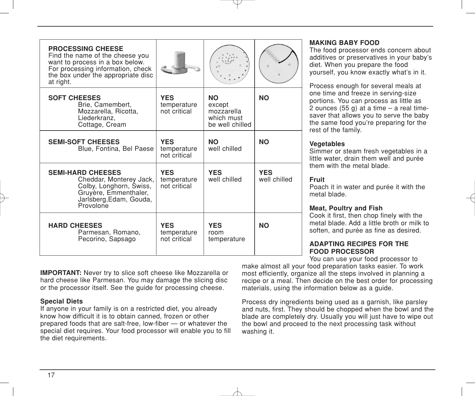| <b>PROCESSING CHEESE</b><br>Find the name of the cheese you<br>want to process in a box below.<br>For processing information, check<br>the box under the appropriate disc<br>at right. |                                           |                                                                    | $\circ$                    |
|----------------------------------------------------------------------------------------------------------------------------------------------------------------------------------------|-------------------------------------------|--------------------------------------------------------------------|----------------------------|
| <b>SOFT CHEESES</b><br>Brie, Camembert,<br>Mozzarella, Ricotta,<br>Liederkranz,<br>Cottage, Cream                                                                                      | <b>YES</b><br>temperature<br>not critical | <b>NO</b><br>except<br>mozzarella<br>which must<br>be well chilled | <b>NO</b>                  |
| <b>SEMI-SOFT CHEESES</b><br>Blue, Fontina, Bel Paese                                                                                                                                   | <b>YES</b><br>temperature<br>not critical | <b>NO</b><br>well chilled                                          | <b>NO</b>                  |
| <b>SEMI-HARD CHEESES</b><br>Cheddar, Monterey Jack,<br>Colby, Longhorn, Świss,<br>Gruyère, Emmenthaler,<br>Jarlsberg, Edam, Gouda,<br>Provolone                                        | <b>YES</b><br>temperature<br>not critical | <b>YES</b><br>well chilled                                         | <b>YES</b><br>well chilled |
| <b>HARD CHEESES</b><br>Parmesan, Romano,<br>Pecorino, Sapsago                                                                                                                          | <b>YES</b><br>temperature<br>not critical | <b>YES</b><br>room<br>temperature                                  | <b>NO</b>                  |

#### **MAKING BABY FOOD**

The food processor ends concern about additives or preservatives in your baby's diet. When you prepare the food yourself, you know exactly what's in it.

Process enough for several meals at one time and freeze in serving-size portions. You can process as little as 2 ounces  $(55 g)$  at a time – a real timesaver that allows you to serve the baby the same food you're preparing for the rest of the family.

#### **Vegetables**

Simmer or steam fresh vegetables in a little water, drain them well and purée them with the metal blade.

#### **Fruit**

Poach it in water and purée it with the metal blade.

#### **Meat, Poultry and Fish**

Cook it first, then chop finely with the metal blade. Add a little broth or milk to soften, and purée as fine as desired.

#### **ADAPTING RECIPES FOR THE FOOD PROCESSOR**

You can use your food processor to

**IMPORTANT:** Never try to slice soft cheese like Mozzarella or hard cheese like Parmesan. You may damage the slicing disc or the processor itself. See the guide for processing cheese.

#### **Special Diets**

If anyone in your family is on a restricted diet, you already know how difficult it is to obtain canned, frozen or other prepared foods that are salt-free, low-fiber — or whatever the special diet requires. Your food processor will enable you to fill the diet requirements.

make almost all your food preparation tasks easier. To work most efficiently, organize all the steps involved in planning a recipe or a meal. Then decide on the best order for processing materials, using the information below as a guide.

Process dry ingredients being used as a garnish, like parsley and nuts, first. They should be chopped when the bowl and the blade are completely dry. Usually you will just have to wipe out the bowl and proceed to the next processing task without washing it.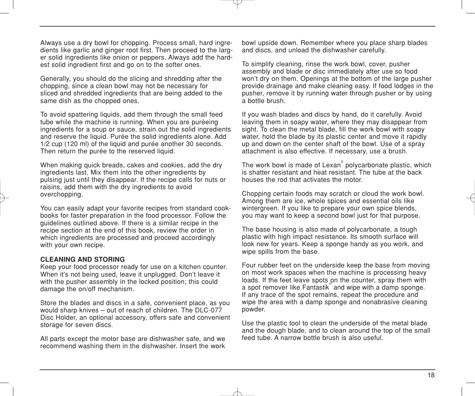Always use a dry bowl for chopping. Process small, hard ingredients like garlic and ginger root first. Then proceed to the larger solid ingredients like onion or peppers. Always add the hardest solid ingredient first and go on to the softer ones.

Generally, you should do the slicing and shredding after the chopping, since a clean bowl may not be necessary for sliced and shredded ingredients that are being added to the same dish as the chopped ones.

To avoid spattering liquids, add them through the small feed tube while the machine is running. When you are puréeing ingredients for a soup or sauce, strain out the solid ingredients and reserve the liquid. Purée the solid ingredients alone. Add 1/2 cup (120 ml) of the liquid and purée another 30 seconds. Then return the purée to the reserved liquid.

When making quick breads, cakes and cookies, add the dry ingredients last. Mix them into the other ingredients by pulsing just until they disappear. If the recipe calls for nuts or raisins, add them with the dry ingredients to avoid overchopping.

You can easily adapt your favorite recipes from standard cookbooks for faster preparation in the food processor. Follow the guidelines outlined above. If there is a similar recipe in the recipe section at the end of this book, review the order in which ingredients are processed and proceed accordingly with your own recipe.

#### **CLEANING AND STORING**

Keep your food processor ready for use on a kitchen counter. When it's not being used, leave it unplugged. Don't leave it with the pusher assembly in the locked position; this could damage the on/off mechanism.

Store the blades and discs in a safe, convenient place, as you would sharp knives – out of reach of children. The DLC-077 Disc Holder, an optional accessory, offers safe and convenient storage for seven discs.

All parts except the motor base are dishwasher safe, and we recommend washing them in the dishwasher. Insert the work bowl upside down. Remember where you place sharp blades and discs, and unload the dishwasher carefully.

To simplify cleaning, rinse the work bowl, cover, pusher assembly and blade or disc immediately after use so food won't dry on them. Openings at the bottom of the large pusher provide drainage and make cleaning easy. If food lodges in the pusher, remove it by running water through pusher or by using a bottle brush.

If you wash blades and discs by hand, do it carefully. Avoid leaving them in soapy water, where they may disappear from sight. To clean the metal blade, fill the work bowl with soapy water, hold the blade by its plastic center and move it rapidly up and down on the center shaft of the bowl. Use of a spray attachment is also effective. If necessary, use a brush.

The work bowl is made of Lexan® polycarbonate plastic, which is shatter resistant and heat resistant. The tube at the back houses the rod that activates the motor.

Chopping certain foods may scratch or cloud the work bowl. Among them are ice, whole spices and essential oils like wintergreen. If you like to prepare your own spice blends, you may want to keep a second bowl just for that purpose.

The base housing is also made of polycarbonate, a tough plastic with high impact resistance. Its smooth surface will look new for years. Keep a sponge handy as you work, and wipe spills from the base.

Four rubber feet on the underside keep the base from moving on most work spaces when the machine is processing heavy loads. If the feet leave spots on the counter, spray them with a spot remover like Fantastik<sup>®</sup> and wipe with a damp sponge. If any trace of the spot remains, repeat the procedure and wipe the area with a damp sponge and nonabrasive cleaning powder.

Use the plastic tool to clean the underside of the metal blade and the dough blade, and to clean around the top of the small feed tube. A narrow bottle brush is also useful.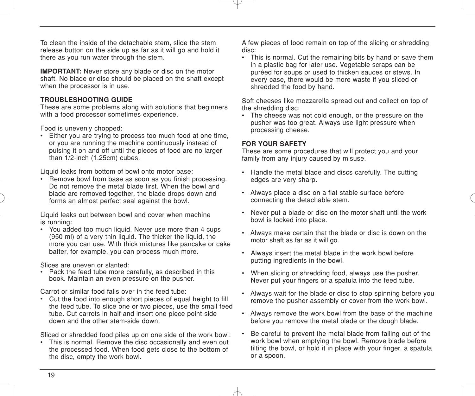To clean the inside of the detachable stem, slide the stem release button on the side up as far as it will go and hold it there as you run water through the stem.

**IMPORTANT:** Never store any blade or disc on the motor shaft. No blade or disc should be placed on the shaft except when the processor is in use.

#### **TROUBLESHOOTING GUIDE**

These are some problems along with solutions that beginners with a food processor sometimes experience.

Food is unevenly chopped:

• Either you are trying to process too much food at one time, or you are running the machine continuously instead of pulsing it on and off until the pieces of food are no larger than 1/2-inch (1.25cm) cubes.

Liquid leaks from bottom of bowl onto motor base:

• Remove bowl from base as soon as you finish processing. Do not remove the metal blade first. When the bowl and blade are removed together, the blade drops down and forms an almost perfect seal against the bowl.

Liquid leaks out between bowl and cover when machine is running:

• You added too much liquid. Never use more than 4 cups (950 ml) of a very thin liquid. The thicker the liquid, the more you can use. With thick mixtures like pancake or cake batter, for example, you can process much more.

Slices are uneven or slanted:

• Pack the feed tube more carefully, as described in this book. Maintain an even pressure on the pusher.

Carrot or similar food falls over in the feed tube:

• Cut the food into enough short pieces of equal height to fill the feed tube. To slice one or two pieces, use the small feed tube. Cut carrots in half and insert one piece point-side down and the other stem-side down.

Sliced or shredded food piles up on one side of the work bowl:

• This is normal. Remove the disc occasionally and even out the processed food. When food gets close to the bottom of the disc, empty the work bowl.

A few pieces of food remain on top of the slicing or shredding disc:

• This is normal. Cut the remaining bits by hand or save them in a plastic bag for later use. Vegetable scraps can be puréed for soups or used to thicken sauces or stews. In every case, there would be more waste if you sliced or shredded the food by hand.

Soft cheeses like mozzarella spread out and collect on top of the shredding disc:

• The cheese was not cold enough, or the pressure on the pusher was too great. Always use light pressure when processing cheese.

#### **FOR YOUR SAFETY**

These are some procedures that will protect you and your family from any injury caused by misuse.

- Handle the metal blade and discs carefully. The cutting edges are very sharp.
- Always place a disc on a flat stable surface before connecting the detachable stem.
- Never put a blade or disc on the motor shaft until the work bowl is locked into place.
- Always make certain that the blade or disc is down on the motor shaft as far as it will go.
- Always insert the metal blade in the work bowl before putting ingredients in the bowl.
- When slicing or shredding food, always use the pusher. Never put your fingers or a spatula into the feed tube.
- Always wait for the blade or disc to stop spinning before you remove the pusher assembly or cover from the work bowl.
- Always remove the work bowl from the base of the machine before you remove the metal blade or the dough blade.
- Be careful to prevent the metal blade from falling out of the work bowl when emptying the bowl. Remove blade before tilting the bowl, or hold it in place with your finger, a spatula or a spoon.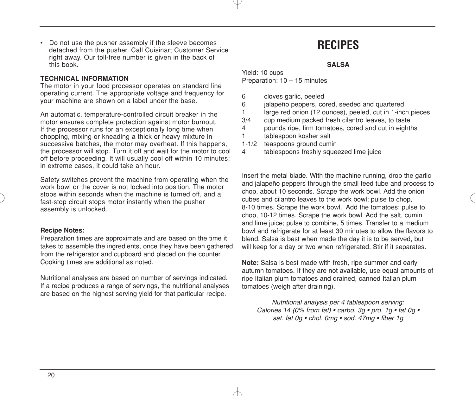• Do not use the pusher assembly if the sleeve becomes detached from the pusher. Call Cuisinart Customer Service right away. Our toll-free number is given in the back of this book.

#### **TECHNICAL INFORMATION**

The motor in your food processor operates on standard line operating current. The appropriate voltage and frequency for your machine are shown on a label under the base.

An automatic, temperature-controlled circuit breaker in the motor ensures complete protection against motor burnout. If the processor runs for an exceptionally long time when chopping, mixing or kneading a thick or heavy mixture in successive batches, the motor may overheat. If this happens, the processor will stop. Turn it off and wait for the motor to cool off before proceeding. It will usually cool off within 10 minutes; in extreme cases, it could take an hour.

Safety switches prevent the machine from operating when the work bowl or the cover is not locked into position. The motor stops within seconds when the machine is turned off, and a fast-stop circuit stops motor instantly when the pusher assembly is unlocked.

#### **Recipe Notes:**

Preparation times are approximate and are based on the time it takes to assemble the ingredients, once they have been gathered from the refrigerator and cupboard and placed on the counter. Cooking times are additional as noted.

Nutritional analyses are based on number of servings indicated. If a recipe produces a range of servings, the nutritional analyses are based on the highest serving yield for that particular recipe.

## **RECIPES**

#### **SALSA**

Yield: 10 cups Preparation: 10 – 15 minutes

- 6 cloves garlic, peeled
- 6 jalapeño peppers, cored, seeded and quartered
- 1 large red onion (12 ounces), peeled, cut in 1-inch pieces<br>3/4 cup medium packed fresh cilantro leaves to taste
- cup medium packed fresh cilantro leaves, to taste
- 4 pounds ripe, firm tomatoes, cored and cut in eighths 1 tablespoon kosher salt
- 1-1/2 teaspoons ground cumin<br>4 tablespoons freshly squee
- tablespoons freshly squeezed lime juice

Insert the metal blade. With the machine running, drop the garlic and jalapeño peppers through the small feed tube and process to chop, about 10 seconds. Scrape the work bowl. Add the onion cubes and cilantro leaves to the work bowl; pulse to chop, 8-10 times. Scrape the work bowl. Add the tomatoes; pulse to chop, 10-12 times. Scrape the work bowl. Add the salt, cumin and lime juice; pulse to combine, 5 times. Transfer to a medium bowl and refrigerate for at least 30 minutes to allow the flavors to blend. Salsa is best when made the day it is to be served, but will keep for a day or two when refrigerated. Stir if it separates.

**Note:** Salsa is best made with fresh, ripe summer and early autumn tomatoes. If they are not available, use equal amounts of ripe Italian plum tomatoes and drained, canned Italian plum tomatoes (weigh after draining).

*Nutritional analysis per 4 tablespoon serving: Calories 14 (0% from fat) • carbo. 3g • pro. 1g • fat 0g • sat. fat 0g • chol. 0mg • sod. 47mg • fiber 1g*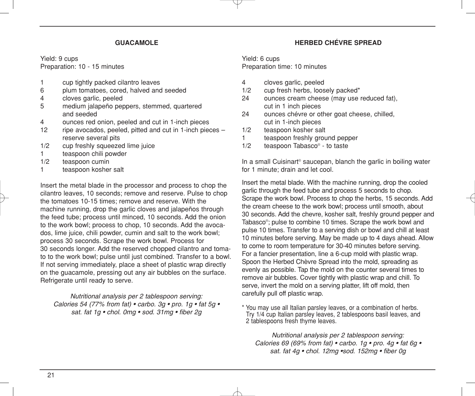#### **GUACAMOLE**

Yield: 9 cups Preparation: 10 - 15 minutes

- 1 cup tightly packed cilantro leaves<br>6 blum tomatoes, cored, halved and
- plum tomatoes, cored, halved and seeded
- 4 cloves garlic, peeled
- 5 medium jalapeño peppers, stemmed, quartered and seeded
- 4 ounces red onion, peeled and cut in 1-inch pieces<br>12 ripe avocados peeled pitted and cut in 1-inch piec
- ripe avocados, peeled, pitted and cut in 1-inch pieces  $$ reserve several pits
- 1/2 cup freshly squeezed lime juice
- 1 teaspoon chili powder
- 1/2 teaspoon cumin
- 1 teaspoon kosher salt

Insert the metal blade in the processor and process to chop the cilantro leaves, 10 seconds; remove and reserve. Pulse to chop the tomatoes 10-15 times; remove and reserve. With the machine running, drop the garlic cloves and jalapeños through the feed tube; process until minced, 10 seconds. Add the onion to the work bowl; process to chop, 10 seconds. Add the avocados, lime juice, chili powder, cumin and salt to the work bowl; process 30 seconds. Scrape the work bowl. Process for 30 seconds longer. Add the reserved chopped cilantro and tomato to the work bowl; pulse until just combined. Transfer to a bowl. If not serving immediately, place a sheet of plastic wrap directly on the guacamole, pressing out any air bubbles on the surface. Refrigerate until ready to serve.

*Nutritional analysis per 2 tablespoon serving: Calories 54 (77% from fat) • carbo. 3g • pro. 1g • fat 5g • sat. fat 1g • chol. 0mg • sod. 31mg • fiber 2g*

#### **HERBED CHÉVRE SPREAD**

Yield: 6 cups

Preparation time: 10 minutes

- 4 cloves garlic, peeled<br>1/2 cup fresh herbs loos
- cup fresh herbs, loosely packed\*
- 24 ounces cream cheese (may use reduced fat), cut in 1 inch pieces
- 24 ounces chévre or other goat cheese, chilled, cut in 1-inch pieces
- 1/2 teaspoon kosher salt
- 1 teaspoon freshly ground pepper
- 1/2 teaspoon Tabasco® to taste

In a small Cuisinart<sup>®</sup> saucepan, blanch the garlic in boiling water for 1 minute; drain and let cool.

Insert the metal blade. With the machine running, drop the cooled garlic through the feed tube and process 5 seconds to chop. Scrape the work bowl. Process to chop the herbs, 15 seconds. Add the cream cheese to the work bowl; process until smooth, about 30 seconds. Add the chevre, kosher salt, freshly ground pepper and Tabasco®; pulse to combine 10 times. Scrape the work bowl and pulse 10 times. Transfer to a serving dish or bowl and chill at least 10 minutes before serving. May be made up to 4 days ahead. Allow to come to room temperature for 30-40 minutes before serving. For a fancier presentation, line a 6-cup mold with plastic wrap. Spoon the Herbed Chèvre Spread into the mold, spreading as evenly as possible. Tap the mold on the counter several times to remove air bubbles. Cover tightly with plastic wrap and chill. To serve, invert the mold on a serving platter, lift off mold, then carefully pull off plastic wrap.

\* You may use all Italian parsley leaves, or a combination of herbs. Try 1/4 cup Italian parsley leaves, 2 tablespoons basil leaves, and 2 tablespoons fresh thyme leaves.

*Nutritional analysis per 2 tablespoon serving: Calories 69 (69% from fat) • carbo. 1g • pro. 4g • fat 6g • sat. fat 4g • chol. 12mg •sod. 152mg • fiber 0g*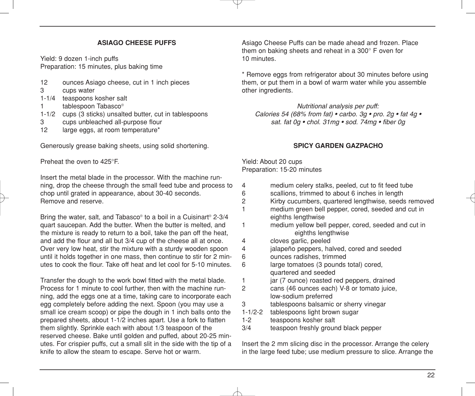#### **ASIAGO CHEESE PUFFS**

Yield: 9 dozen 1-inch puffs Preparation: 15 minutes, plus baking time

- 12 ounces Asiago cheese, cut in 1 inch pieces<br>3 cups water
- cups water
- 1-1/4 teaspoons kosher salt
- 1 tablespoon Tabasco®
- 1-1/2 cups (3 sticks) unsalted butter, cut in tablespoons
- 3 cups unbleached all-purpose flour
- 12 large eggs, at room temperature\*

Generously grease baking sheets, using solid shortening.

Preheat the oven to 425°F.

Insert the metal blade in the processor. With the machine running, drop the cheese through the small feed tube and process to chop until grated in appearance, about 30-40 seconds. Remove and reserve.

Bring the water, salt, and Tabasco® to a boil in a Cuisinart® 2-3/4 quart saucepan. Add the butter. When the butter is melted, and the mixture is ready to return to a boil, take the pan off the heat, and add the flour and all but 3/4 cup of the cheese all at once. Over very low heat, stir the mixture with a sturdy wooden spoon until it holds together in one mass, then continue to stir for 2 minutes to cook the flour. Take off heat and let cool for 5-10 minutes.

Transfer the dough to the work bowl fitted with the metal blade. Process for 1 minute to cool further, then with the machine running, add the eggs one at a time, taking care to incorporate each egg completely before adding the next. Spoon (you may use a small ice cream scoop) or pipe the dough in 1 inch balls onto the prepared sheets, about 1-1/2 inches apart. Use a fork to flatten them slightly. Sprinkle each with about 1/3 teaspoon of the reserved cheese. Bake until golden and puffed, about 20-25 minutes. For crispier puffs, cut a small slit in the side with the tip of a knife to allow the steam to escape. Serve hot or warm.

Asiago Cheese Puffs can be made ahead and frozen. Place them on baking sheets and reheat in a 300° F oven for 10 minutes.

\* Remove eggs from refrigerator about 30 minutes before using them, or put them in a bowl of warm water while you assemble other ingredients.

*Nutritional analysis per puff: Calories 54 (68% from fat) • carbo. 3g • pro. 2g • fat 4g • sat. fat 0g • chol. 31mg • sod. 74mg • fiber 0g*

#### **SPICY GARDEN GAZPACHO**

Yield: About 20 cups Preparation: 15-20 minutes

|  |  |  | medium celery stalks, peeled, cut to fit feed tube |  |
|--|--|--|----------------------------------------------------|--|
|  |  |  |                                                    |  |

- 6 scallions, trimmed to about 6 inches in length
- 2 Kirby cucumbers, quartered lengthwise, seeds removed<br>1 medium green bell pepper cored seeded and cut in
	- medium green bell pepper, cored, seeded and cut in eighths lengthwise
- 1 medium yellow bell pepper, cored, seeded and cut in eighths lengthwise
- 4 cloves garlic, peeled<br>4 ialaneño penners ha
- jalapeño peppers, halved, cored and seeded
- 6 ounces radishes, trimmed
- 6 large tomatoes (3 pounds total) cored, quartered and seeded
- 1 jar (7 ounce) roasted red peppers, drained
- 2 cans (46 ounces each) V-8 or tomato juice, low-sodium preferred
- 3 tablespoons balsamic or sherry vinegar
- 1-1/2-2 tablespoons light brown sugar
- 1-2 teaspoons kosher salt
- 3/4 teaspoon freshly ground black pepper

Insert the 2 mm slicing disc in the processor. Arrange the celery in the large feed tube; use medium pressure to slice. Arrange the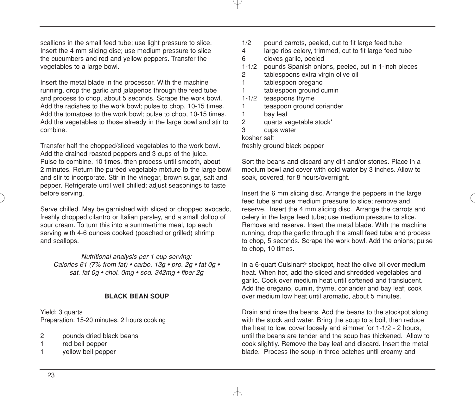scallions in the small feed tube; use light pressure to slice. Insert the 4 mm slicing disc; use medium pressure to slice the cucumbers and red and yellow peppers. Transfer the vegetables to a large bowl.

Insert the metal blade in the processor. With the machine running, drop the garlic and jalapeños through the feed tube and process to chop, about 5 seconds. Scrape the work bowl. Add the radishes to the work bowl; pulse to chop, 10-15 times. Add the tomatoes to the work bowl; pulse to chop, 10-15 times. Add the vegetables to those already in the large bowl and stir to combine.

Transfer half the chopped/sliced vegetables to the work bowl. Add the drained roasted peppers and 3 cups of the juice. Pulse to combine, 10 times, then process until smooth, about 2 minutes. Return the puréed vegetable mixture to the large bowl and stir to incorporate. Stir in the vinegar, brown sugar, salt and pepper. Refrigerate until well chilled; adjust seasonings to taste before serving.

Serve chilled. May be garnished with sliced or chopped avocado, freshly chopped cilantro or Italian parsley, and a small dollop of sour cream. To turn this into a summertime meal, top each serving with 4-6 ounces cooked (poached or grilled) shrimp and scallops.

*Nutritional analysis per 1 cup serving: Calories 61 (7% from fat) • carbo. 13g • pro. 2g • fat 0g • sat. fat 0g • chol. 0mg • sod. 342mg • fiber 2g*

#### **BLACK BEAN SOUP**

Yield: 3 quarts Preparation: 15-20 minutes, 2 hours cooking

- 2 pounds dried black beans
- 1 red bell pepper
- 1 yellow bell pepper
- 1/2 pound carrots, peeled, cut to fit large feed tube<br>4 large ribs celery trimmed cut to fit large feed tu
- large ribs celery, trimmed, cut to fit large feed tube 6 cloves garlic, peeled
- 1-1/2 pounds Spanish onions, peeled, cut in 1-inch pieces
- 2 tablespoons extra virgin olive oil
- 1 tablespoon oregano
- 1 tablespoon ground cumin
- 1-1/2 teaspoons thyme
- 1 teaspoon ground coriander<br>1 bay leaf
- bay leaf
- 2 quarts vegetable stock\*
- 3 cups water

kosher salt

freshly ground black pepper

Sort the beans and discard any dirt and/or stones. Place in a medium bowl and cover with cold water by 3 inches. Allow to soak, covered, for 8 hours/overnight.

Insert the 6 mm slicing disc. Arrange the peppers in the large feed tube and use medium pressure to slice; remove and reserve. Insert the 4 mm slicing disc. Arrange the carrots and celery in the large feed tube; use medium pressure to slice. Remove and reserve. Insert the metal blade. With the machine running, drop the garlic through the small feed tube and process to chop, 5 seconds. Scrape the work bowl. Add the onions; pulse to chop, 10 times.

In a 6-quart Cuisinart<sup>®</sup> stockpot, heat the olive oil over medium heat. When hot, add the sliced and shredded vegetables and garlic. Cook over medium heat until softened and translucent. Add the oregano, cumin, thyme, coriander and bay leaf; cook over medium low heat until aromatic, about 5 minutes.

Drain and rinse the beans. Add the beans to the stockpot along with the stock and water. Bring the soup to a boil, then reduce the heat to low, cover loosely and simmer for 1-1/2 - 2 hours, until the beans are tender and the soup has thickened. Allow to cook slightly. Remove the bay leaf and discard. Insert the metal blade. Process the soup in three batches until creamy and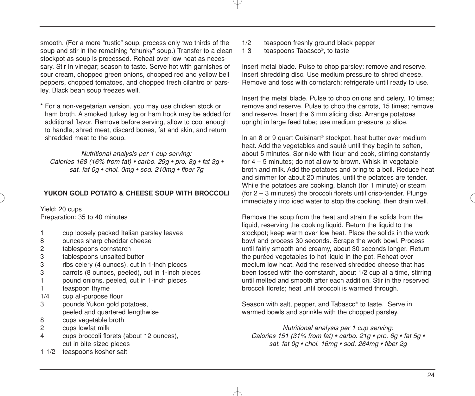smooth. (For a more "rustic" soup, process only two thirds of the soup and stir in the remaining "chunky" soup.) Transfer to a clean stockpot as soup is processed. Reheat over low heat as necessary. Stir in vinegar; season to taste. Serve hot with garnishes of sour cream, chopped green onions, chopped red and yellow bell peppers, chopped tomatoes, and chopped fresh cilantro or parsley. Black bean soup freezes well.

\* For a non-vegetarian version, you may use chicken stock or ham broth. A smoked turkey leg or ham hock may be added for additional flavor. Remove before serving, allow to cool enough to handle, shred meat, discard bones, fat and skin, and return shredded meat to the soup.

*Nutritional analysis per 1 cup serving: Calories 168 (16% from fat) • carbo. 29g • pro. 8g • fat 3g • sat. fat 0g • chol. 0mg • sod. 210mg • fiber 7g*

#### **YUKON GOLD POTATO & CHEESE SOUP WITH BROCCOLI**

Yield: 20 cups Preparation: 35 to 40 minutes

- 1 cup loosely packed Italian parsley leaves
- 8 ounces sharp cheddar cheese<br>2 tablespoons cornstarch
- tablespoons cornstarch
- 3 tablespoons unsalted butter
- 3 ribs celery (4 ounces), cut in 1-inch pieces
- 3 carrots (8 ounces, peeled), cut in 1-inch pieces
- 1 pound onions, peeled, cut in 1-inch pieces
- 1 teaspoon thyme
- 1/4 cup all-purpose flour
- 3 pounds Yukon gold potatoes, peeled and quartered lengthwise
- 8 cups vegetable broth
- 2 cups lowfat milk
- 4 cups broccoli florets (about 12 ounces), cut in bite-sized pieces
- 1-1/2 teaspoons kosher salt
- $1/2$  teaspoon freshly ground black pepper<br> $1-3$  teaspoons  $\text{Tables} \cos^{\circ}$  to taste
- teaspoons Tabasco®, to taste

Insert metal blade. Pulse to chop parsley; remove and reserve. Insert shredding disc. Use medium pressure to shred cheese. Remove and toss with cornstarch; refrigerate until ready to use.

Insert the metal blade. Pulse to chop onions and celery, 10 times; remove and reserve. Pulse to chop the carrots, 15 times; remove and reserve. Insert the 6 mm slicing disc. Arrange potatoes upright in large feed tube; use medium pressure to slice.

In an 8 or 9 quart Cuisinart<sup>®</sup> stockpot, heat butter over medium heat. Add the vegetables and sauté until they begin to soften, about 5 minutes. Sprinkle with flour and cook, stirring constantly for 4 – 5 minutes; do not allow to brown. Whisk in vegetable broth and milk. Add the potatoes and bring to a boil. Reduce heat and simmer for about 20 minutes, until the potatoes are tender. While the potatoes are cooking, blanch (for 1 minute) or steam (for 2 – 3 minutes) the broccoli florets until crisp-tender. Plunge immediately into iced water to stop the cooking, then drain well.

Remove the soup from the heat and strain the solids from the liquid, reserving the cooking liquid. Return the liquid to the stockpot; keep warm over low heat. Place the solids in the work bowl and process 30 seconds. Scrape the work bowl. Process until fairly smooth and creamy, about 30 seconds longer. Return the puréed vegetables to hot liquid in the pot. Reheat over medium low heat. Add the reserved shredded cheese that has been tossed with the cornstarch, about 1/2 cup at a time, stirring until melted and smooth after each addition. Stir in the reserved broccoli florets; heat until broccoli is warmed through.

Season with salt, pepper, and Tabasco® to taste. Serve in warmed bowls and sprinkle with the chopped parsley.

*Nutritional analysis per 1 cup serving: Calories 151 (31% from fat) • carbo. 21g • pro. 6g • fat 5g • sat. fat 0g • chol. 16mg • sod. 264mg • fiber 2g*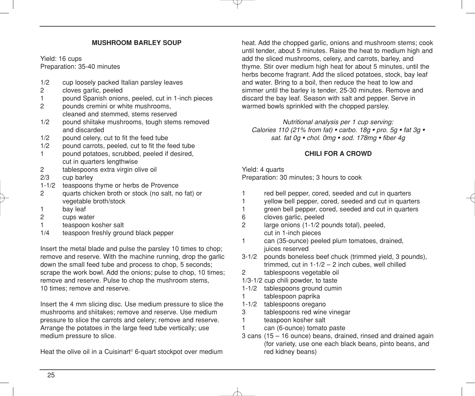#### **MUSHROOM BARLEY SOUP**

Yield: 16 cups Preparation: 35-40 minutes

- 1/2 cup loosely packed Italian parsley leaves<br>2 cloves garlic peeled
- cloves garlic, peeled
- 1 pound Spanish onions, peeled, cut in 1-inch pieces
- 2 pounds cremini or white mushrooms, cleaned and stemmed, stems reserved
- 1/2 pound shiitake mushrooms, tough stems removed and discarded
- 1/2 pound celery, cut to fit the feed tube
- 1/2 pound carrots, peeled, cut to fit the feed tube
- 1 pound potatoes, scrubbed, peeled if desired, cut in quarters lengthwise
- 2 tablespoons extra virgin olive oil
- 2/3 cup barley
- 1-1/2 teaspoons thyme or herbs de Provence
- 2 quarts chicken broth or stock (no salt, no fat) or vegetable broth/stock
- 1 bay leaf
- 2 cups water
- 1 teaspoon kosher salt<br>1/4 teaspoon freshiv grou
- teaspoon freshly ground black pepper

Insert the metal blade and pulse the parsley 10 times to chop; remove and reserve. With the machine running, drop the garlic down the small feed tube and process to chop, 5 seconds; scrape the work bowl. Add the onions; pulse to chop, 10 times; remove and reserve. Pulse to chop the mushroom stems, 10 times; remove and reserve.

Insert the 4 mm slicing disc. Use medium pressure to slice the mushrooms and shiitakes; remove and reserve. Use medium pressure to slice the carrots and celery; remove and reserve. Arrange the potatoes in the large feed tube vertically; use medium pressure to slice.

Heat the olive oil in a Cuisinart<sup>®</sup> 6-quart stockpot over medium

heat. Add the chopped garlic, onions and mushroom stems; cook until tender, about 5 minutes. Raise the heat to medium high and add the sliced mushrooms, celery, and carrots, barley, and thyme. Stir over medium high heat for about 5 minutes, until the herbs become fragrant. Add the sliced potatoes, stock, bay leaf and water. Bring to a boil, then reduce the heat to low and simmer until the barley is tender, 25-30 minutes. Remove and discard the bay leaf. Season with salt and pepper. Serve in warmed bowls sprinkled with the chopped parsley.

*Nutritional analysis per 1 cup serving: Calories 110 (21% from fat) • carbo. 18g • pro. 5g • fat 3g • sat. fat 0g • chol. 0mg • sod. 178mg • fiber 4g*

#### **CHILI FOR A CROWD**

#### Yield: 4 quarts

Preparation: 30 minutes; 3 hours to cook

- 1 red bell pepper, cored, seeded and cut in quarters
- 1 yellow bell pepper, cored, seeded and cut in quarters
- 1 green bell pepper, cored, seeded and cut in quarters
- 6 cloves garlic, peeled
- 2 large onions (1-1/2 pounds total), peeled, cut in 1-inch pieces
- 1 can (35-ounce) peeled plum tomatoes, drained, juices reserved
- 3-1/2 pounds boneless beef chuck (trimmed yield, 3 pounds), trimmed, cut in  $1-1/2 - 2$  inch cubes, well chilled
- 2 tablespoons vegetable oil
- 1/3-1/2 cup chili powder, to taste
- 1-1/2 tablespoons ground cumin
- 1 tablespoon paprika
- 1-1/2 tablespoons oregano
- 3 tablespoons red wine vinegar
- 1 teaspoon kosher salt
- 1 can (6-ounce) tomato paste
- 3 cans (15 16 ounce) beans, drained, rinsed and drained again (for variety, use one each black beans, pinto beans, and red kidney beans)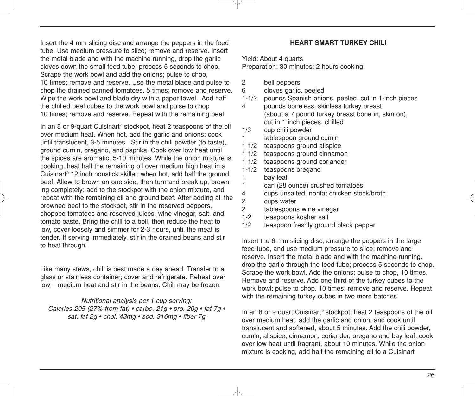Insert the 4 mm slicing disc and arrange the peppers in the feed tube. Use medium pressure to slice; remove and reserve. Insert the metal blade and with the machine running, drop the garlic cloves down the small feed tube; process 5 seconds to chop. Scrape the work bowl and add the onions; pulse to chop, 10 times; remove and reserve. Use the metal blade and pulse to chop the drained canned tomatoes, 5 times; remove and reserve. Wipe the work bowl and blade dry with a paper towel. Add half the chilled beef cubes to the work bowl and pulse to chop 10 times; remove and reserve. Repeat with the remaining beef.

In an 8 or 9-quart Cuisinart<sup>®</sup> stockpot, heat 2 teaspoons of the oil over medium heat. When hot, add the garlic and onions; cook until translucent, 3-5 minutes. Stir in the chili powder (to taste), ground cumin, oregano, and paprika. Cook over low heat until the spices are aromatic, 5-10 minutes. While the onion mixture is cooking, heat half the remaining oil over medium high heat in a Cuisinart® 12 inch nonstick skillet; when hot, add half the ground beef. Allow to brown on one side, then turn and break up, browning completely; add to the stockpot with the onion mixture, and repeat with the remaining oil and ground beef. After adding all the browned beef to the stockpot, stir in the reserved peppers, chopped tomatoes and reserved juices, wine vinegar, salt, and tomato paste. Bring the chili to a boil, then reduce the heat to low, cover loosely and simmer for 2-3 hours, until the meat is tender. If serving immediately, stir in the drained beans and stir to heat through.

Like many stews, chili is best made a day ahead. Transfer to a glass or stainless container; cover and refrigerate. Reheat over low – medium heat and stir in the beans. Chili may be frozen.

*Nutritional analysis per 1 cup serving: Calories 205 (27% from fat) • carbo. 21g • pro. 20g • fat 7g • sat. fat 2g • chol. 43mg • sod. 316mg • fiber 7g*

#### **HEART SMART TURKEY CHILI**

Yield: About 4 quarts Preparation: 30 minutes; 2 hours cooking

- 2 bell peppers
- 6 cloves garlic, peeled
- 1-1/2 pounds Spanish onions, peeled, cut in 1-inch pieces
- 4 pounds boneless, skinless turkey breast (about a 7 pound turkey breast bone in, skin on), cut in 1 inch pieces, chilled
- 1/3 cup chili powder 1 tablespoon ground cumin
- 1-1/2 teaspoons ground allspice
- 1-1/2 teaspoons ground cinnamon
- 1-1/2 teaspoons ground coriander<br>1-1/2 teaspoons oregano
- teaspoons oregano 1 bay leaf 1 can (28 ounce) crushed tomatoes 4 cups unsalted, nonfat chicken stock/broth 2 cups water<br>2 tablespoons tablespoons wine vinegar
- 1-2 teaspoons kosher salt
- 1/2 teaspoon freshly ground black pepper

Insert the 6 mm slicing disc, arrange the peppers in the large feed tube, and use medium pressure to slice; remove and reserve. Insert the metal blade and with the machine running, drop the garlic through the feed tube; process 5 seconds to chop. Scrape the work bowl. Add the onions; pulse to chop, 10 times. Remove and reserve. Add one third of the turkey cubes to the work bowl; pulse to chop, 10 times; remove and reserve. Repeat with the remaining turkey cubes in two more batches.

In an 8 or 9 quart Cuisinart<sup>®</sup> stockpot, heat 2 teaspoons of the oil over medium heat, add the garlic and onion, and cook until translucent and softened, about 5 minutes. Add the chili powder, cumin, allspice, cinnamon, coriander, oregano and bay leaf; cook over low heat until fragrant, about 10 minutes. While the onion mixture is cooking, add half the remaining oil to a Cuisinart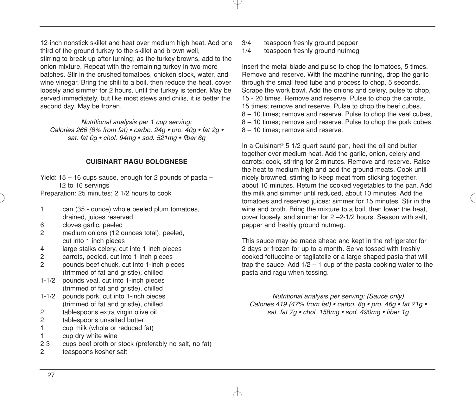12-inch nonstick skillet and heat over medium high heat. Add one third of the ground turkey to the skillet and brown well, stirring to break up after turning; as the turkey browns, add to the onion mixture. Repeat with the remaining turkey in two more batches. Stir in the crushed tomatoes, chicken stock, water, and wine vinegar. Bring the chili to a boil, then reduce the heat, cover loosely and simmer for 2 hours, until the turkey is tender. May be served immediately, but like most stews and chilis, it is better the second day. May be frozen.

*Nutritional analysis per 1 cup serving: Calories 266 (8% from fat) • carbo. 24g • pro. 40g • fat 2g • sat. fat 0g • chol. 94mg • sod. 521mg • fiber 6g*

#### **CUISINART RAGU BOLOGNESE**

Yield: 15 – 16 cups sauce, enough for 2 pounds of pasta – 12 to 16 servings Preparation: 25 minutes; 2 1/2 hours to cook

- 1 can (35 ounce) whole peeled plum tomatoes, drained, juices reserved
- 6 cloves garlic, peeled<br>2 medium onions (12 o
- medium onions (12 ounces total), peeled. cut into 1 inch pieces
- 4 large stalks celery, cut into 1-inch pieces
- 2 carrots, peeled, cut into 1-inch pieces
- 2 pounds beef chuck, cut into 1-inch pieces (trimmed of fat and gristle), chilled
- 1-1/2 pounds veal, cut into 1-inch pieces (trimmed of fat and gristle), chilled
- 1-1/2 pounds pork, cut into 1-inch pieces (trimmed of fat and gristle), chilled
- 2 tablespoons extra virgin olive oil
- 2 tablespoons unsalted butter
- 1 cup milk (whole or reduced fat)
- 1 cup dry white wine
- 2-3 cups beef broth or stock (preferably no salt, no fat)
- 2 teaspoons kosher salt
- 3/4 teaspoon freshly ground pepper<br>1/4 teaspoon freshly ground nutmed
- teaspoon freshly ground nutmeg

Insert the metal blade and pulse to chop the tomatoes, 5 times. Remove and reserve. With the machine running, drop the garlic through the small feed tube and process to chop, 5 seconds. Scrape the work bowl. Add the onions and celery, pulse to chop, 15 - 20 times. Remove and reserve. Pulse to chop the carrots, 15 times; remove and reserve. Pulse to chop the beef cubes, 8 – 10 times; remove and reserve. Pulse to chop the veal cubes, 8 – 10 times; remove and reserve. Pulse to chop the pork cubes, 8 – 10 times; remove and reserve.

In a Cuisinart® 5-1/2 quart sauté pan, heat the oil and butter together over medium heat. Add the garlic, onion, celery and carrots; cook, stirring for 2 minutes. Remove and reserve. Raise the heat to medium high and add the ground meats. Cook until nicely browned, stirring to keep meat from sticking together, about 10 minutes. Return the cooked vegetables to the pan. Add the milk and simmer until reduced, about 10 minutes. Add the tomatoes and reserved juices; simmer for 15 minutes. Stir in the wine and broth. Bring the mixture to a boil, then lower the heat, cover loosely, and simmer for 2 –2-1/2 hours. Season with salt, pepper and freshly ground nutmeg.

This sauce may be made ahead and kept in the refrigerator for 2 days or frozen for up to a month. Serve tossed with freshly cooked fettuccine or tagliatelle or a large shaped pasta that will trap the sauce. Add  $1/2 - 1$  cup of the pasta cooking water to the pasta and ragu when tossing.

*Nutritional analysis per serving: (Sauce only) Calories 419 (47% from fat) • carbo. 8g • pro. 46g • fat 21g • sat. fat 7g • chol. 158mg • sod. 490mg • fiber 1g*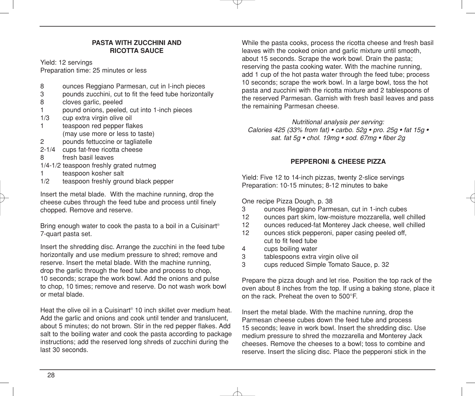#### **PASTA WITH ZUCCHINI AND RICOTTA SAUCE**

Yield: 12 servings

Preparation time: 25 minutes or less

- 8 ounces Reggiano Parmesan, cut in I-inch pieces<br>3 opunds zucchini cut to fit the feed tube horizonta
- 3 pounds zucchini, cut to fit the feed tube horizontally<br>8 cloves garlic, peeled
- cloves garlic, peeled
- 1 pound onions, peeled, cut into 1-inch pieces
- 1/3 cup extra virgin olive oil
- 1 teaspoon red pepper flakes (may use more or less to taste)
- 2 pounds fettuccine or tagliatelle
- 2-1/4 cups fat-free ricotta cheese
- 8 fresh basil leaves
- 1/4-1/2 teaspoon freshly grated nutmeg
- 1 teaspoon kosher salt
- 1/2 teaspoon freshly ground black pepper

Insert the metal blade. With the machine running, drop the cheese cubes through the feed tube and process until finely chopped. Remove and reserve.

Bring enough water to cook the pasta to a boil in a Cuisinart<sup>®</sup> 7-quart pasta set.

Insert the shredding disc. Arrange the zucchini in the feed tube horizontally and use medium pressure to shred; remove and reserve. Insert the metal blade. With the machine running, drop the garlic through the feed tube and process to chop, 10 seconds; scrape the work bowl. Add the onions and pulse to chop, 10 times; remove and reserve. Do not wash work bowl or metal blade.

Heat the olive oil in a Cuisinart® 10 inch skillet over medium heat. Add the garlic and onions and cook until tender and translucent, about 5 minutes; do not brown. Stir in the red pepper flakes. Add salt to the boiling water and cook the pasta according to package instructions; add the reserved long shreds of zucchini during the last 30 seconds.

While the pasta cooks, process the ricotta cheese and fresh basil leaves with the cooked onion and garlic mixture until smooth, about 15 seconds. Scrape the work bowl. Drain the pasta; reserving the pasta cooking water. With the machine running, add 1 cup of the hot pasta water through the feed tube; process 10 seconds; scrape the work bowl. In a large bowl, toss the hot pasta and zucchini with the ricotta mixture and 2 tablespoons of the reserved Parmesan. Garnish with fresh basil leaves and pass the remaining Parmesan cheese.

*Nutritional analysis per serving: Calories 425 (33% from fat) • carbo. 52g • pro. 25g • fat 15g • sat. fat 5g • chol. 19mg • sod. 67mg • fiber 2g*

#### **PEPPERONI & CHEESE PIZZA**

Yield: Five 12 to 14-inch pizzas, twenty 2-slice servings Preparation: 10-15 minutes; 8-12 minutes to bake

One recipe Pizza Dough, p. 38

- 3 ounces Reggiano Parmesan, cut in 1-inch cubes
- 12 ounces part skim, low-moisture mozzarella, well chilled
- 12 ounces reduced-fat Monterey Jack cheese, well chilled<br>12 ounces stick pepperoni paper casing peeled off
- ounces stick pepperoni, paper casing peeled off, cut to fit feed tube
- 4 cups boiling water
- 3 tablespoons extra virgin olive oil
- 3 cups reduced Simple Tomato Sauce, p. 32

Prepare the pizza dough and let rise. Position the top rack of the oven about 8 inches from the top. If using a baking stone, place it on the rack. Preheat the oven to 500°F.

Insert the metal blade. With the machine running, drop the Parmesan cheese cubes down the feed tube and process 15 seconds; leave in work bowl. Insert the shredding disc. Use medium pressure to shred the mozzarella and Monterey Jack cheeses. Remove the cheeses to a bowl; toss to combine and reserve. Insert the slicing disc. Place the pepperoni stick in the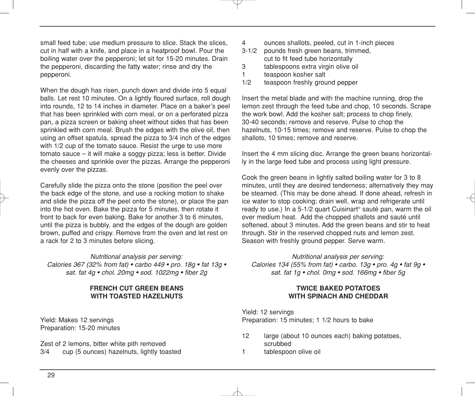small feed tube; use medium pressure to slice. Stack the slices, cut in half with a knife, and place in a heatproof bowl. Pour the boiling water over the pepperoni; let sit for 15-20 minutes. Drain the pepperoni, discarding the fatty water; rinse and dry the pepperoni.

When the dough has risen, punch down and divide into 5 equal balls. Let rest 10 minutes. On a lightly floured surface, roll dough into rounds, 12 to 14 inches in diameter. Place on a baker's peel that has been sprinkled with corn meal, or on a perforated pizza pan, a pizza screen or baking sheet without sides that has been sprinkled with corn meal. Brush the edges with the olive oil, then using an offset spatula, spread the pizza to 3/4 inch of the edges with 1/2 cup of the tomato sauce. Resist the urge to use more tomato sauce – it will make a soggy pizza; less is better. Divide the cheeses and sprinkle over the pizzas. Arrange the pepperoni evenly over the pizzas.

Carefully slide the pizza onto the stone (position the peel over the back edge of the stone, and use a rocking motion to shake and slide the pizza off the peel onto the stone), or place the pan into the hot oven. Bake the pizza for 5 minutes, then rotate it front to back for even baking. Bake for another 3 to 6 minutes, until the pizza is bubbly, and the edges of the dough are golden brown, puffed and crispy. Remove from the oven and let rest on a rack for 2 to 3 minutes before slicing.

*Nutritional analysis per serving: Calories 367 (32% from fat) • carbo 449 • pro. 18g • fat 13g • sat. fat 4g • chol. 20mg • sod. 1022mg • fiber 2g*

#### **FRENCH CUT GREEN BEANS WITH TOASTED HAZELNUTS**

Yield: Makes 12 servings Preparation: 15-20 minutes

Zest of 2 lemons, bitter white pith removed 3/4 cup (5 ounces) hazelnuts, lightly toasted

- 4 ounces shallots, peeled, cut in 1-inch pieces<br>3-1/2 pounds fresh green beans trimmed
- pounds fresh green beans, trimmed, cut to fit feed tube horizontally
- 3 tablespoons extra virgin olive oil
- 1 teaspoon kosher salt
- 1/2 teaspoon freshly ground pepper

Insert the metal blade and with the machine running, drop the lemon zest through the feed tube and chop, 10 seconds. Scrape the work bowl. Add the kosher salt; process to chop finely, 30-40 seconds; remove and reserve. Pulse to chop the hazelnuts, 10-15 times; remove and reserve. Pulse to chop the shallots, 10 times; remove and reserve.

Insert the 4 mm slicing disc. Arrange the green beans horizontally in the large feed tube and process using light pressure.

Cook the green beans in lightly salted boiling water for 3 to 8 minutes, until they are desired tenderness; alternatively they may be steamed. (This may be done ahead. If done ahead, refresh in ice water to stop cooking; drain well, wrap and refrigerate until ready to use.) In a 5-1/2 quart Cuisinart® sauté pan, warm the oil over medium heat. Add the chopped shallots and sauté until softened, about 3 minutes. Add the green beans and stir to heat through. Stir in the reserved chopped nuts and lemon zest. Season with freshly ground pepper. Serve warm.

*Nutritional analysis per serving: Calories 134 (55% from fat) • carbo. 13g • pro. 4g • fat 9g • sat. fat 1g • chol. 0mg • sod. 166mg • fiber 5g*

#### **TWICE BAKED POTATOES WITH SPINACH AND CHEDDAR**

Yield: 12 servings Preparation: 15 minutes; 1 1/2 hours to bake

- 12 large (about 10 ounces each) baking potatoes, scrubbed
- 1 tablespoon olive oil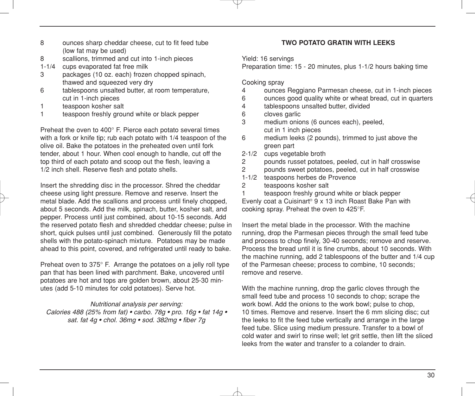- 8 ounces sharp cheddar cheese, cut to fit feed tube (low fat may be used)
- 8 scallions, trimmed and cut into 1-inch pieces
- 1-1/4 cups evaporated fat free milk
- 3 packages (10 oz. each) frozen chopped spinach, thawed and squeezed very dry
- 6 tablespoons unsalted butter, at room temperature, cut in 1-inch pieces
- 1 teaspoon kosher salt<br>1 teaspoon freshiv grou
- teaspoon freshly ground white or black pepper

Preheat the oven to 400° F. Pierce each potato several times with a fork or knife tip; rub each potato with 1/4 teaspoon of the olive oil. Bake the potatoes in the preheated oven until fork tender, about 1 hour. When cool enough to handle, cut off the top third of each potato and scoop out the flesh, leaving a 1/2 inch shell. Reserve flesh and potato shells.

Insert the shredding disc in the processor. Shred the cheddar cheese using light pressure. Remove and reserve. Insert the metal blade. Add the scallions and process until finely chopped, about 5 seconds. Add the milk, spinach, butter, kosher salt, and pepper. Process until just combined, about 10-15 seconds. Add the reserved potato flesh and shredded cheddar cheese; pulse in short, quick pulses until just combined. Generously fill the potato shells with the potato-spinach mixture. Potatoes may be made ahead to this point, covered, and refrigerated until ready to bake.

Preheat oven to 375° F. Arrange the potatoes on a jelly roll type pan that has been lined with parchment. Bake, uncovered until potatoes are hot and tops are golden brown, about 25-30 minutes (add 5-10 minutes for cold potatoes). Serve hot.

#### *Nutritional analysis per serving:*

*Calories 488 (25% from fat) • carbo. 78g • pro. 16g • fat 14g • sat. fat 4g • chol. 36mg • sod. 382mg • fiber 7g*

#### **TWO POTATO GRATIN WITH LEEKS**

Yield: 16 servings

Preparation time: 15 - 20 minutes, plus 1-1/2 hours baking time

#### Cooking spray

- 4 ounces Reggiano Parmesan cheese, cut in 1-inch pieces
- 6 ounces good quality white or wheat bread, cut in quarters
- 4 tablespoons unsalted butter, divided<br>6 cloves garlic
- cloves garlic
- 3 medium onions (6 ounces each), peeled, cut in 1 inch pieces
- 6 medium leeks (2 pounds), trimmed to just above the green part
- 2-1/2 cups vegetable broth
- 2 pounds russet potatoes, peeled, cut in half crosswise<br>2 pounds sweet potatoes, peeled, cut in half crosswise
- pounds sweet potatoes, peeled, cut in half crosswise
- 1-1/2 teaspoons herbes de Provence
- 2 teaspoons kosher salt
- 1 teaspoon freshly ground white or black pepper

Evenly coat a Cuisinart® 9 x 13 inch Roast Bake Pan with cooking spray. Preheat the oven to 425°F.

Insert the metal blade in the processor. With the machine running, drop the Parmesan pieces through the small feed tube and process to chop finely, 30-40 seconds; remove and reserve. Process the bread until it is fine crumbs, about 10 seconds. With the machine running, add 2 tablespoons of the butter and 1/4 cup of the Parmesan cheese; process to combine, 10 seconds; remove and reserve.

With the machine running, drop the garlic cloves through the small feed tube and process 10 seconds to chop; scrape the work bowl. Add the onions to the work bowl; pulse to chop, 10 times. Remove and reserve. Insert the 6 mm slicing disc; cut the leeks to fit the feed tube vertically and arrange in the large feed tube. Slice using medium pressure. Transfer to a bowl of cold water and swirl to rinse well; let grit settle, then lift the sliced leeks from the water and transfer to a colander to drain.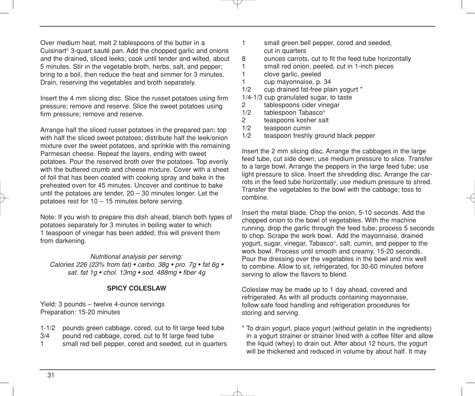Over medium heat, melt 2 tablespoons of the butter in a Cuisinart® 3-quart sauté pan. Add the chopped garlic and onions and the drained, sliced leeks; cook until tender and wilted, about 5 minutes. Stir in the vegetable broth, herbs, salt, and pepper; bring to a boil, then reduce the heat and simmer for 3 minutes. Drain, reserving the vegetables and broth separately.

Insert the 4 mm slicing disc. Slice the russet potatoes using firm pressure; remove and reserve. Slice the sweet potatoes using firm pressure; remove and reserve.

Arrange half the sliced russet potatoes in the prepared pan; top with half the sliced sweet potatoes; distribute half the leek/onion mixture over the sweet potatoes, and sprinkle with the remaining Parmesan cheese. Repeat the layers, ending with sweet potatoes. Pour the reserved broth over the potatoes. Top evenly with the buttered crumb and cheese mixture. Cover with a sheet of foil that has been coated with cooking spray and bake in the preheated oven for 45 minutes. Uncover and continue to bake until the potatoes are tender,  $20 - 30$  minutes longer. Let the potatoes rest for 10 – 15 minutes before serving.

Note: If you wish to prepare this dish ahead, blanch both types of potatoes separately for 3 minutes in boiling water to which 1 teaspoon of vinegar has been added; this will prevent them from darkening.

*Nutritional analysis per serving: Calories 226 (23% from fat) • carbo. 38g • pro. 7g • fat 6g • sat. fat 1g • chol. 13mg • sod. 488mg • fiber 4g*

#### **SPICY COLESLAW**

Yield: 3 pounds – twelve 4-ounce servings Preparation: 15-20 minutes

- 1-1/2 pounds green cabbage, cored, cut to fit large feed tube
- 3/4 pound red cabbage, cored, cut to fit large feed tube
- 1 small red bell pepper, cored and seeded, cut in quarters
- 1 small green bell pepper, cored and seeded, cut in quarters
- 8 ounces carrots, cut to fit the feed tube horizontally<br>1 small red onion peeled cut in 1-inch pieces
- 1 small red onion, peeled, cut in 1-inch pieces<br>1 clove garlic peeled
	- clove garlic, peeled
- 1 cup mayonnaise, p. 34
- 1/2 cup drained fat-free plain yogurt \*
- 1/4-1/3 cup granulated sugar, to taste
- 2 tablespoons cider vinegar
- $1/2$  tablespoon Tabasco<sup>®</sup><br>2 teaspoons kosher sal
- teaspoons kosher salt
- 1/2 teaspoon cumin
- 1/2 teaspoon freshly ground black pepper

Insert the 2 mm slicing disc. Arrange the cabbages in the large feed tube, cut side down; use medium pressure to slice. Transfer to a large bowl. Arrange the peppers in the large feed tube; use light pressure to slice. Insert the shredding disc. Arrange the carrots in the feed tube horizontally; use medium pressure to shred. Transfer the vegetables to the bowl with the cabbage; toss to combine.

Insert the metal blade. Chop the onion, 5-10 seconds. Add the chopped onion to the bowl of vegetables. With the machine running, drop the garlic through the feed tube; process 5 seconds to chop. Scrape the work bowl. Add the mayonnaise, drained yogurt, sugar, vinegar, Tabasco®, salt, cumin, and pepper to the work bowl. Process until smooth and creamy, 15-20 seconds. Pour the dressing over the vegetables in the bowl and mix well to combine. Allow to sit, refrigerated, for 30-60 minutes before serving to allow the flavors to blend.

Coleslaw may be made up to 1 day ahead, covered and refrigerated. As with all products containing mayonnaise, follow safe food handling and refrigeration procedures for storing and serving.

\* To drain yogurt, place yogurt (without gelatin in the ingredients) in a yogurt strainer or strainer lined with a coffee filter and allow the liquid (whey) to drain out. After about 12 hours, the yogurt will be thickened and reduced in volume by about half. It may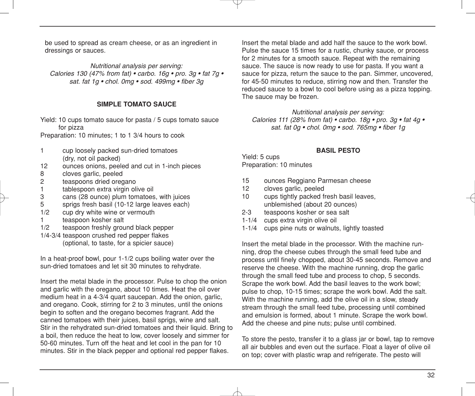be used to spread as cream cheese, or as an ingredient in dressings or sauces.

*Nutritional analysis per serving: Calories 130 (47% from fat) • carbo. 16g • pro. 3g • fat 7g • sat. fat 1g • chol. 0mg • sod. 499mg • fiber 3g*

#### **SIMPLE TOMATO SAUCE**

Yield: 10 cups tomato sauce for pasta / 5 cups tomato sauce for pizza

Preparation: 10 minutes; 1 to 1 3/4 hours to cook

- 1 cup loosely packed sun-dried tomatoes (dry, not oil packed)
- 12 ounces onions, peeled and cut in 1-inch pieces
- 8 cloves garlic, peeled<br>2 teaspoons dried orec
- 2 teaspoons dried oregano<br>1 tablespoon extra virgin ol
- 1 tablespoon extra virgin olive oil<br>3 cans (28 ounce) plum tomatoes
- 3 cans (28 ounce) plum tomatoes, with juices
- 5 sprigs fresh basil (10-12 large leaves each)<br>
1/2 cup dry white wine or vermouth
- 1/2 cup dry white wine or vermouth<br>1 teaspoon kosher salt
- teaspoon kosher salt
- 1/2 teaspoon freshly ground black pepper
- 1/4-3/4 teaspoon crushed red pepper flakes (optional, to taste, for a spicier sauce)

In a heat-proof bowl, pour 1-1/2 cups boiling water over the sun-dried tomatoes and let sit 30 minutes to rehydrate.

Insert the metal blade in the processor. Pulse to chop the onion and garlic with the oregano, about 10 times. Heat the oil over medium heat in a 4-3/4 quart saucepan. Add the onion, garlic, and oregano. Cook, stirring for 2 to 3 minutes, until the onions begin to soften and the oregano becomes fragrant. Add the canned tomatoes with their juices, basil sprigs, wine and salt. Stir in the rehydrated sun-dried tomatoes and their liquid. Bring to a boil, then reduce the heat to low, cover loosely and simmer for 50-60 minutes. Turn off the heat and let cool in the pan for 10 minutes. Stir in the black pepper and optional red pepper flakes.

Insert the metal blade and add half the sauce to the work bowl. Pulse the sauce 15 times for a rustic, chunky sauce, or process for 2 minutes for a smooth sauce. Repeat with the remaining sauce. The sauce is now ready to use for pasta. If you want a sauce for pizza, return the sauce to the pan. Simmer, uncovered, for 45-50 minutes to reduce, stirring now and then. Transfer the reduced sauce to a bowl to cool before using as a pizza topping. The sauce may be frozen.

*Nutritional analysis per serving: Calories 111 (28% from fat) • carbo. 18g • pro. 3g • fat 4g • sat. fat 0g • chol. 0mg • sod. 765mg • fiber 1g*

#### **BASIL PESTO**

Yield: 5 cups Preparation: 10 minutes

- 15 ounces Reggiano Parmesan cheese
- 12 cloves garlic, peeled
- 10 cups tightly packed fresh basil leaves, unblemished (about 20 ounces)
- 2-3 teaspoons kosher or sea salt
- 1-1/4 cups extra virgin olive oil
- 1-1/4 cups pine nuts or walnuts, lightly toasted

Insert the metal blade in the processor. With the machine running, drop the cheese cubes through the small feed tube and process until finely chopped, about 30-45 seconds. Remove and reserve the cheese. With the machine running, drop the garlic through the small feed tube and process to chop, 5 seconds. Scrape the work bowl. Add the basil leaves to the work bowl; pulse to chop, 10-15 times; scrape the work bowl. Add the salt. With the machine running, add the olive oil in a slow, steady stream through the small feed tube, processing until combined and emulsion is formed, about 1 minute. Scrape the work bowl. Add the cheese and pine nuts; pulse until combined.

To store the pesto, transfer it to a glass jar or bowl, tap to remove all air bubbles and even out the surface. Float a layer of olive oil on top; cover with plastic wrap and refrigerate. The pesto will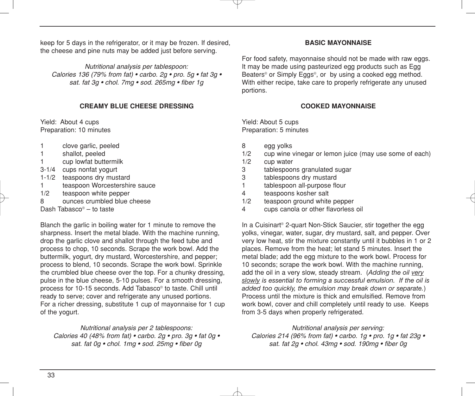keep for 5 days in the refrigerator, or it may be frozen. If desired, the cheese and pine nuts may be added just before serving.

*Nutritional analysis per tablespoon: Calories 136 (79% from fat) • carbo. 2g • pro. 5g • fat 3g • sat. fat 3g • chol. 7mg • sod. 265mg • fiber 1g*

#### **CREAMY BLUE CHEESE DRESSING**

Yield: About 4 cups Preparation: 10 minutes

- 1 clove garlic, peeled
- 1 shallot, peeled
- 1 cup lowfat buttermilk
- 3-1/4 cups nonfat yogurt
- 1-1/2 teaspoons dry mustard
- 1 teaspoon Worcestershire sauce<br>1/2 teaspoon white penner
- teaspoon white pepper
- 8 ounces crumbled blue cheese

Dash Tabasco® – to taste

Blanch the garlic in boiling water for 1 minute to remove the sharpness. Insert the metal blade. With the machine running, drop the garlic clove and shallot through the feed tube and process to chop, 10 seconds. Scrape the work bowl. Add the buttermilk, yogurt, dry mustard, Worcestershire, and pepper; process to blend, 10 seconds. Scrape the work bowl. Sprinkle the crumbled blue cheese over the top. For a chunky dressing, pulse in the blue cheese, 5-10 pulses. For a smooth dressing, process for 10-15 seconds. Add Tabasco® to taste. Chill until ready to serve; cover and refrigerate any unused portions. For a richer dressing, substitute 1 cup of mayonnaise for 1 cup of the yogurt.

*Nutritional analysis per 2 tablespoons: Calories 40 (48% from fat) • carbo. 2g • pro. 3g • fat 0g • sat. fat 0g • chol. 1mg • sod. 25mg • fiber 0g*

#### **BASIC MAYONNAISE**

For food safety, mayonnaise should not be made with raw eggs. It may be made using pasteurized egg products such as Egg Beaters<sup>®</sup> or Simply Eggs<sup>®</sup>, or by using a cooked egg method. With either recipe, take care to properly refrigerate any unused portions.

#### **COOKED MAYONNAISE**

Yield: About 5 cups Preparation: 5 minutes

- 8 egg yolks
- 1/2 cup wine vinegar or lemon juice (may use some of each)
- 1/2 cup water
- 3 tablespoons granulated sugar
- 3 tablespoons dry mustard
- 1 tablespoon all-purpose flour
- 4 teaspoons kosher salt
- 1/2 teaspoon ground white pepper
- 4 cups canola or other flavorless oil

In a Cuisinart<sup>®</sup> 2-quart Non-Stick Saucier, stir together the egg yolks, vinegar, water, sugar, dry mustard, salt, and pepper. Over very low heat, stir the mixture constantly until it bubbles in 1 or 2 places. Remove from the heat; let stand 5 minutes. Insert the metal blade; add the egg mixture to the work bowl. Process for 10 seconds; scrape the work bowl. With the machine running, add the oil in a very slow, steady stream. (*Adding the oil very slowly is essential to forming a successful emulsion. If the oil is added too quickly, the emulsion may break down or separate.*) Process until the mixture is thick and emulsified. Remove from work bowl, cover and chill completely until ready to use. Keeps from 3-5 days when properly refrigerated.

*Nutritional analysis per serving: Calories 214 (96% from fat) • carbo. 1g • pro. 1g • fat 23g • sat. fat 2g • chol. 43mg • sod. 190mg • fiber 0g*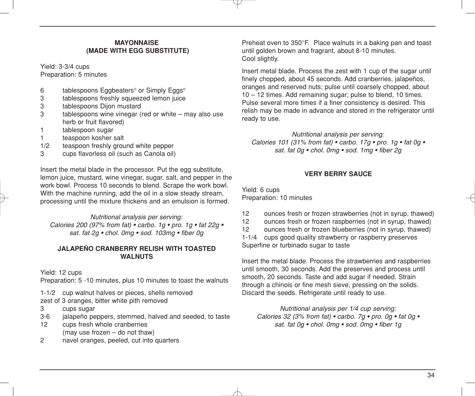#### **MAYONNAISE (MADE WITH EGG SUBSTITUTE)**

Yield: 3-3/4 cups Preparation: 5 minutes

- 6 tablespoons Eggbeaters® or Simply Eggs®<br>3 tablespoons freshly squeezed lemon juice
- tablespoons freshly squeezed lemon juice
- 3 tablespoons Dijon mustard<br>3 tablespoons wine vinegar (
- $tablespoons$  wine vinegar (red or white may also use herb or fruit flavored)
- 1 tablespoon sugar
- 1 teaspoon kosher salt
- 1/2 teaspoon freshly ground white pepper<br>3 cups flavorless oil (such as Canola oil)
- cups flavorless oil (such as Canola oil)

Insert the metal blade in the processor. Put the egg substitute, lemon juice, mustard, wine vinegar, sugar, salt, and pepper in the work bowl. Process 10 seconds to blend. Scrape the work bowl. With the machine running, add the oil in a slow steady stream, processing until the mixture thickens and an emulsion is formed.

*Nutritional analysis per serving: Calories 200 (97% from fat) • carbo. 1g • pro. 1g • fat 22g • sat. fat 2g • chol. 0mg • sod. 103mg • fiber 0g*

#### **JALAPEÑO CRANBERRY RELISH WITH TOASTED WALNUTS**

Yield: 12 cups

Preparation: 5 -10 minutes, plus 10 minutes to toast the walnuts

1-1/2 cup walnut halves or pieces, shells removed

zest of 3 oranges, bitter white pith removed

- 3 cups sugar
- 3-6 jalapeño peppers, stemmed, halved and seeded, to taste
- 12 cups fresh whole cranberries (may use frozen – do not thaw)
- 2 navel oranges, peeled, cut into quarters

Preheat oven to 350°F. Place walnuts in a baking pan and toast until golden brown and fragrant, about 8-10 minutes. Cool slightly.

Insert metal blade. Process the zest with 1 cup of the sugar until finely chopped, about 45 seconds. Add cranberries, jalapeños, oranges and reserved nuts; pulse until coarsely chopped, about 10 – 12 times. Add remaining sugar; pulse to blend, 10 times. Pulse several more times if a finer consistency is desired. This relish may be made in advance and stored in the refrigerator until ready to use.

*Nutritional analysis per serving: Calories 101 (31% from fat) • carbo. 17g • pro. 1g • fat 0g • sat. fat 0g • chol. 0mg • sod. 1mg • fiber 2g*

#### **VERY BERRY SAUCE**

Yield: 6 cups Preparation: 10 minutes

- 12 ounces fresh or frozen strawberries (not in syrup, thawed)
- 12 ounces fresh or frozen raspberries (not in syrup, thawed)
- 12 ounces fresh or frozen blueberries (not in syrup, thawed)

1-1/4 cups good quality strawberry or raspberry preserves Superfine or turbinado sugar to taste

Insert the metal blade. Process the strawberries and raspberries until smooth, 30 seconds. Add the preserves and process until smooth, 20 seconds. Taste and add sugar if needed. Strain through a chinois or fine mesh sieve, pressing on the solids. Discard the seeds. Refrigerate until ready to use.

*Nutritional analysis per 1/4 cup serving: Calories 32 (3% from fat) • carbo. 7g • pro. 0g • fat 0g • sat. fat 0g • chol. 0mg • sod. 0mg • fiber 1g*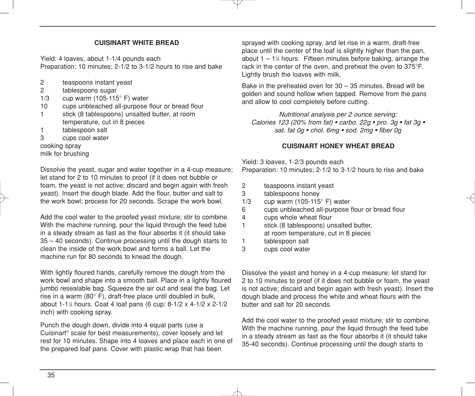#### **CUISINART WHITE BREAD**

Yield: 4 loaves, about 1-1/4 pounds each Preparation: 10 minutes; 2-1/2 to 3-1/2 hours to rise and bake

- 2 teaspoons instant yeast<br>2 tablespoons sugar
- tablespoons sugar
- 1/3 cup warm (105-115 $^{\circ}$  F) water
- 10 cups unbleached all-purpose flour or bread flour
- 1 stick (8 tablespoons) unsalted butter, at room temperature, cut in 8 pieces
- 1 tablespoon salt
- 3 cups cool water

cooking spray milk for brushing

Dissolve the yeast, sugar and water together in a 4-cup measure; let stand for 2 to 10 minutes to proof (if it does not bubble or foam, the yeast is not active; discard and begin again with fresh yeast). Insert the dough blade. Add the flour, butter and salt to the work bowl; process for 20 seconds. Scrape the work bowl.

Add the cool water to the proofed yeast mixture; stir to combine. With the machine running, pour the liquid through the feed tube in a steady stream as fast as the flour absorbs it (it should take 35 – 40 seconds). Continue processing until the dough starts to clean the inside of the work bowl and forms a ball. Let the machine run for 80 seconds to knead the dough.

With lightly floured hands, carefully remove the dough from the work bowl and shape into a smooth ball. Place in a lightly floured jumbo resealable bag. Squeeze the air out and seal the bag. Let rise in a warm (80° F), draft-free place until doubled in bulk, about 1-11 ⁄2 hours. Coat 4 loaf pans (6 cup: 8-1/2 x 4-1/2 x 2-1/2 inch) with cooking spray.

Punch the dough down, divide into 4 equal parts (use a Cuisinart® scale for best measurements), cover loosely and let rest for 10 minutes. Shape into 4 loaves and place each in one of the prepared loaf pans. Cover with plastic wrap that has been

sprayed with cooking spray, and let rise in a warm, draft-free place until the center of the loaf is slightly higher than the pan, about 1 – 1½ hours. Fifteen minutes before baking, arrange the rack in the center of the oven, and preheat the oven to 375°F. Lightly brush the loaves with milk.

Bake in the preheated oven for 30 – 35 minutes. Bread will be golden and sound hollow when tapped. Remove from the pans and allow to cool completely before cutting.

*Nutritional analysis per 2 ounce serving: Calories 123 (20% from fat) • carbo. 22g • pro. 3g • fat 3g • sat. fat 0g • chol. 6mg • sod. 2mg • fiber 0g*

#### **CUISINART HONEY WHEAT BREAD**

Yield: 3 loaves, 1-2/3 pounds each Preparation: 10 minutes; 2-1/2 to 3-1/2 hours to rise and bake

- 2 teaspoons instant yeast
- 3 tablespoons honey
- 1/3 cup warm (105-115 $^{\circ}$  F) water
- 6 cups unbleached all-purpose flour or bread flour
- 4 cups whole wheat flour
- 1 stick (8 tablespoons) unsalted butter, at room temperature, cut in 8 pieces
- 1 tablespoon salt
- 3 cups cool water

Dissolve the yeast and honey in a 4-cup measure; let stand for 2 to 10 minutes to proof (if it does not bubble or foam, the yeast is not active; discard and begin again with fresh yeast). Insert the dough blade and process the white and wheat flours with the butter and salt for 20 seconds.

Add the cool water to the proofed yeast mixture; stir to combine. With the machine running, pour the liquid through the feed tube in a steady stream as fast as the flour absorbs it (it should take 35-40 seconds). Continue processing until the dough starts to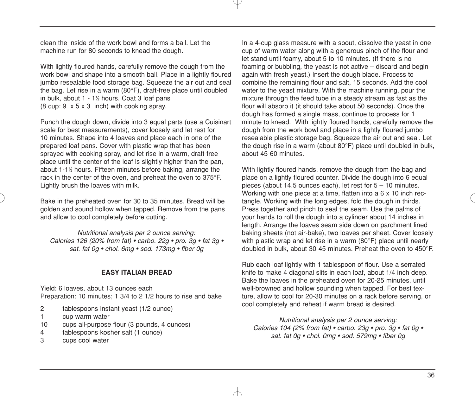clean the inside of the work bowl and forms a ball. Let the machine run for 80 seconds to knead the dough.

With lightly floured hands, carefully remove the dough from the work bowl and shape into a smooth ball. Place in a lightly floured jumbo resealable food storage bag. Squeeze the air out and seal the bag. Let rise in a warm (80°F), draft-free place until doubled in bulk, about 1 - 11 ⁄2 hours. Coat 3 loaf pans (8 cup: 9 x 5 x 3 inch) with cooking spray.

Punch the dough down, divide into 3 equal parts (use a Cuisinart scale for best measurements), cover loosely and let rest for 10 minutes. Shape into 4 loaves and place each in one of the prepared loaf pans. Cover with plastic wrap that has been sprayed with cooking spray, and let rise in a warm, draft-free place until the center of the loaf is slightly higher than the pan, about 1-1½ hours. Fifteen minutes before baking, arrange the rack in the center of the oven, and preheat the oven to 375°F. Lightly brush the loaves with milk.

Bake in the preheated oven for 30 to 35 minutes. Bread will be golden and sound hollow when tapped. Remove from the pans and allow to cool completely before cutting.

*Nutritional analysis per 2 ounce serving: Calories 126 (20% from fat) • carbo. 22g • pro. 3g • fat 3g • sat. fat 0g • chol. 6mg • sod. 173mg • fiber 0g*

#### **EASY ITALIAN BREAD**

Yield: 6 loaves, about 13 ounces each Preparation: 10 minutes; 1 3/4 to 2 1/2 hours to rise and bake

- 2 tablespoons instant yeast (1/2 ounce)
- 1 cup warm water
- 10 cups all-purpose flour (3 pounds, 4 ounces)
- 4 tablespoons kosher salt (1 ounce)
- 3 cups cool water

In a 4-cup glass measure with a spout, dissolve the yeast in one cup of warm water along with a generous pinch of the flour and let stand until foamy, about 5 to 10 minutes. (If there is no foaming or bubbling, the yeast is not active – discard and begin again with fresh yeast.) Insert the dough blade. Process to combine the remaining flour and salt, 15 seconds. Add the cool water to the yeast mixture. With the machine running, pour the mixture through the feed tube in a steady stream as fast as the flour will absorb it (it should take about 50 seconds). Once the dough has formed a single mass, continue to process for 1 minute to knead. With lightly floured hands, carefully remove the dough from the work bowl and place in a lightly floured jumbo resealable plastic storage bag. Squeeze the air out and seal. Let the dough rise in a warm (about 80°F) place until doubled in bulk, about 45-60 minutes.

With lightly floured hands, remove the dough from the bag and place on a lightly floured counter. Divide the dough into 6 equal pieces (about 14.5 ounces each), let rest for 5 – 10 minutes. Working with one piece at a time, flatten into a 6 x 10 inch rectangle. Working with the long edges, fold the dough in thirds. Press together and pinch to seal the seam. Use the palms of your hands to roll the dough into a cylinder about 14 inches in length. Arrange the loaves seam side down on parchment lined baking sheets (not air-bake), two loaves per sheet. Cover loosely with plastic wrap and let rise in a warm (80°F) place until nearly doubled in bulk, about 30-45 minutes. Preheat the oven to 450°F.

Rub each loaf lightly with 1 tablespoon of flour. Use a serrated knife to make 4 diagonal slits in each loaf, about 1/4 inch deep. Bake the loaves in the preheated oven for 20-25 minutes, until well-browned and hollow sounding when tapped. For best texture, allow to cool for 20-30 minutes on a rack before serving, or cool completely and reheat if warm bread is desired.

*Nutritional analysis per 2 ounce serving: Calories 104 (2% from fat) • carbo. 23g • pro. 3g • fat 0g • sat. fat 0g • chol. 0mg • sod. 579mg • fiber 0g*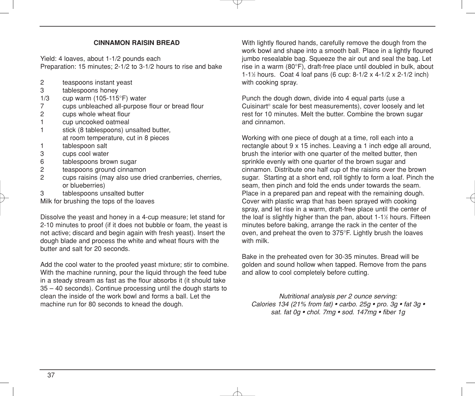#### **CINNAMON RAISIN BREAD**

Yield: 4 loaves, about 1-1/2 pounds each Preparation: 15 minutes; 2-1/2 to 3-1/2 hours to rise and bake

- 2 teaspoons instant yeast<br>3 tablespoons honey
- 3 tablespoons honey<br>1/3 cup warm (105-115)
- cup warm (105-115 $\degree$ F) water
- 7 cups unbleached all-purpose flour or bread flour<br>2 cups whole wheat flour
- cups whole wheat flour
- 1 cup uncooked oatmeal
- 1 stick (8 tablespoons) unsalted butter, at room temperature, cut in 8 pieces
- 1 tablespoon salt<br>3 cups cool water
- cups cool water
- 6 tablespoons brown sugar<br>2 teaspoons ground cinnam
- teaspoons ground cinnamon
- 2 cups raisins (may also use dried cranberries, cherries, or blueberries)
- 3 tablespoons unsalted butter

Milk for brushing the tops of the loaves

Dissolve the yeast and honey in a 4-cup measure; let stand for 2-10 minutes to proof (if it does not bubble or foam, the yeast is not active; discard and begin again with fresh yeast). Insert the dough blade and process the white and wheat flours with the butter and salt for 20 seconds.

Add the cool water to the proofed yeast mixture; stir to combine. With the machine running, pour the liquid through the feed tube in a steady stream as fast as the flour absorbs it (it should take 35 – 40 seconds). Continue processing until the dough starts to clean the inside of the work bowl and forms a ball. Let the machine run for 80 seconds to knead the dough.

With lightly floured hands, carefully remove the dough from the work bowl and shape into a smooth ball. Place in a lightly floured jumbo resealable bag. Squeeze the air out and seal the bag. Let rise in a warm (80°F), draft-free place until doubled in bulk, about 1-11 ⁄2 hours. Coat 4 loaf pans (6 cup: 8-1/2 x 4-1/2 x 2-1/2 inch) with cooking spray.

Punch the dough down, divide into 4 equal parts (use a Cuisinart® scale for best measurements), cover loosely and let rest for 10 minutes. Melt the butter. Combine the brown sugar and cinnamon.

Working with one piece of dough at a time, roll each into a rectangle about 9 x 15 inches. Leaving a 1 inch edge all around, brush the interior with one quarter of the melted butter, then sprinkle evenly with one quarter of the brown sugar and cinnamon. Distribute one half cup of the raisins over the brown sugar. Starting at a short end, roll tightly to form a loaf. Pinch the seam, then pinch and fold the ends under towards the seam. Place in a prepared pan and repeat with the remaining dough. Cover with plastic wrap that has been sprayed with cooking spray, and let rise in a warm, draft-free place until the center of the loaf is slightly higher than the pan, about 1-11 ⁄2 hours. Fifteen minutes before baking, arrange the rack in the center of the oven, and preheat the oven to 375°F. Lightly brush the loaves with milk.

Bake in the preheated oven for 30-35 minutes. Bread will be golden and sound hollow when tapped. Remove from the pans and allow to cool completely before cutting.

*Nutritional analysis per 2 ounce serving: Calories 134 (21% from fat) • carbo. 25g • pro. 3g • fat 3g • sat. fat 0g • chol. 7mg • sod. 147mg • fiber 1g*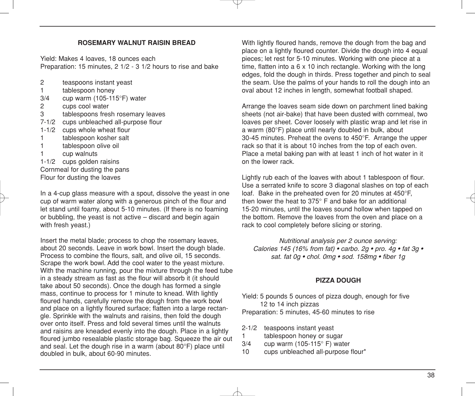#### **ROSEMARY WALNUT RAISIN BREAD**

Yield: Makes 4 loaves, 18 ounces each Preparation: 15 minutes, 2 1/2 - 3 1/2 hours to rise and bake

- 2 teaspoons instant yeast
- 1 tablespoon honey<br>3/4 cup warm (105-11)
- cup warm (105-115 $\degree$ F) water
- 2 cups cool water<br>3 tablespoons fres
- tablespoons fresh rosemary leaves
- 7-1/2 cups unbleached all-purpose flour
- 1-1/2 cups whole wheat flour
- 1 tablespoon kosher salt
- 1 tablespoon olive oil
- 1 cup walnuts
- 1-1/2 cups golden raisins Cornmeal for dusting the pans Flour for dusting the loaves

In a 4-cup glass measure with a spout, dissolve the yeast in one cup of warm water along with a generous pinch of the flour and let stand until foamy, about 5-10 minutes. (If there is no foaming or bubbling, the yeast is not active – discard and begin again with fresh yeast.)

Insert the metal blade; process to chop the rosemary leaves, about 20 seconds. Leave in work bowl. Insert the dough blade. Process to combine the flours, salt, and olive oil, 15 seconds. Scrape the work bowl. Add the cool water to the yeast mixture. With the machine running, pour the mixture through the feed tube in a steady stream as fast as the flour will absorb it (it should take about 50 seconds). Once the dough has formed a single mass, continue to process for 1 minute to knead. With lightly floured hands, carefully remove the dough from the work bowl and place on a lightly floured surface: flatten into a large rectangle. Sprinkle with the walnuts and raisins, then fold the dough over onto itself. Press and fold several times until the walnuts and raisins are kneaded evenly into the dough. Place in a lightly floured jumbo resealable plastic storage bag. Squeeze the air out and seal. Let the dough rise in a warm (about 80°F) place until doubled in bulk, about 60-90 minutes.

With lightly floured hands, remove the dough from the bag and place on a lightly floured counter. Divide the dough into 4 equal pieces; let rest for 5-10 minutes. Working with one piece at a time, flatten into a 6 x 10 inch rectangle. Working with the long edges, fold the dough in thirds. Press together and pinch to seal the seam. Use the palms of your hands to roll the dough into an oval about 12 inches in length, somewhat football shaped.

Arrange the loaves seam side down on parchment lined baking sheets (not air-bake) that have been dusted with cornmeal, two loaves per sheet. Cover loosely with plastic wrap and let rise in a warm (80°F) place until nearly doubled in bulk, about 30-45 minutes. Preheat the ovens to 450°F. Arrange the upper rack so that it is about 10 inches from the top of each oven. Place a metal baking pan with at least 1 inch of hot water in it on the lower rack.

Lightly rub each of the loaves with about 1 tablespoon of flour. Use a serrated knife to score 3 diagonal slashes on top of each loaf. Bake in the preheated oven for 20 minutes at 450°F, then lower the heat to 375° F and bake for an additional 15-20 minutes, until the loaves sound hollow when tapped on the bottom. Remove the loaves from the oven and place on a rack to cool completely before slicing or storing.

*Nutritional analysis per 2 ounce serving: Calories 145 (16% from fat) • carbo. 2g • pro. 4g • fat 3g • sat. fat 0g • chol. 0mg • sod. 158mg • fiber 1g*

#### **PIZZA DOUGH**

Yield: 5 pounds 5 ounces of pizza dough, enough for five 12 to 14 inch pizzas Preparation: 5 minutes, 45-60 minutes to rise

- 2-1/2 teaspoons instant yeast
- 1 tablespoon honey or sugar
- $3/4$  cup warm (105-115 $^{\circ}$  F) water
- 10 cups unbleached all-purpose flour\*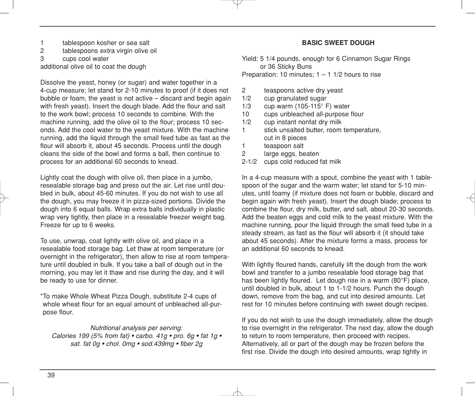- 1 tablespoon kosher or sea salt<br>2 tablespoons extra virgin olive
- tablespoons extra virgin olive oil
- 3 cups cool water

additional olive oil to coat the dough

Dissolve the yeast, honey (or sugar) and water together in a 4-cup measure; let stand for 2-10 minutes to proof (if it does not bubble or foam, the yeast is not active – discard and begin again with fresh yeast). Insert the dough blade. Add the flour and salt to the work bowl; process 10 seconds to combine. With the machine running, add the olive oil to the flour; process 10 seconds. Add the cool water to the yeast mixture. With the machine running, add the liquid through the small feed tube as fast as the flour will absorb it, about 45 seconds. Process until the dough cleans the side of the bowl and forms a ball, then continue to process for an additional 60 seconds to knead.

Lightly coat the dough with olive oil, then place in a jumbo, resealable storage bag and press out the air. Let rise until doubled in bulk, about 45-60 minutes. If you do not wish to use all the dough, you may freeze it in pizza-sized portions. Divide the dough into 6 equal balls. Wrap extra balls individually in plastic wrap very tightly, then place in a resealable freezer weight bag. Freeze for up to 6 weeks.

To use, unwrap, coat lightly with olive oil, and place in a resealable food storage bag. Let thaw at room temperature (or overnight in the refrigerator), then allow to rise at room temperature until doubled in bulk. If you take a ball of dough out in the morning, you may let it thaw and rise during the day, and it will be ready to use for dinner.

\*To make Whole Wheat Pizza Dough, substitute 2-4 cups of whole wheat flour for an equal amount of unbleached all-purpose flour.

*Nutritional analysis per serving: Calories 199 (5% from fat) • carbo. 41g • pro. 6g • fat 1g • sat. fat 0g • chol. 0mg • sod.439mg • fiber 2g*

#### **BASIC SWEET DOUGH**

Yield: 5 1/4 pounds, enough for 6 Cinnamon Sugar Rings or 36 Sticky Buns Preparation: 10 minutes;  $1 - 1$  1/2 hours to rise

- 2 teaspoons active dry yeast
- 1/2 cup granulated sugar
- 1/3 cup warm (105-115° F) water
- 10 cups unbleached all-purpose flour
- 1/2 cup instant nonfat dry milk 1 stick unsalted butter, room temperature, cut in 8 pieces
- 1 teaspoon salt<br>2 large eggs, be
- large eggs, beaten
- 2-1/2 cups cold reduced fat milk

In a 4-cup measure with a spout, combine the yeast with 1 tablespoon of the sugar and the warm water; let stand for 5-10 minutes, until foamy (if mixture does not foam or bubble, discard and begin again with fresh yeast). Insert the dough blade; process to combine the flour, dry milk, butter, and salt, about 20-30 seconds. Add the beaten eggs and cold milk to the yeast mixture. With the machine running, pour the liquid through the small feed tube in a steady stream, as fast as the flour will absorb it (it should take about 45 seconds). After the mixture forms a mass, process for an additional 60 seconds to knead.

With lightly floured hands, carefully lift the dough from the work bowl and transfer to a jumbo resealable food storage bag that has been lightly floured. Let dough rise in a warm (80°F) place, until doubled in bulk, about 1 to 1-1/2 hours. Punch the dough down, remove from the bag, and cut into desired amounts. Let rest for 10 minutes before continuing with sweet dough recipes.

If you do not wish to use the dough immediately, allow the dough to rise overnight in the refrigerator. The next day, allow the dough to return to room temperature, then proceed with recipes. Alternatively, all or part of the dough may be frozen before the first rise. Divide the dough into desired amounts, wrap tightly in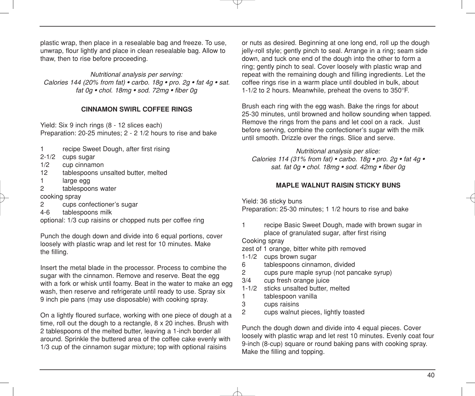plastic wrap, then place in a resealable bag and freeze. To use, unwrap, flour lightly and place in clean resealable bag. Allow to thaw, then to rise before proceeding.

*Nutritional analysis per serving: Calories 144 (20% from fat) • carbo. 18g • pro. 2g • fat 4g • sat. fat 0g • chol. 18mg • sod. 72mg • fiber 0g*

#### **CINNAMON SWIRL COFFEE RINGS**

Yield: Six 9 inch rings (8 - 12 slices each) Preparation: 20-25 minutes; 2 - 2 1/2 hours to rise and bake

- 1 recipe Sweet Dough, after first rising
- 2-1/2 cups sugar
- 1/2 cup cinnamon
- 12 tablespoons unsalted butter, melted
- 1 large egg
- 2 tablespoons water
- cooking spray
- 2 cups confectioner's sugar
- 4-6 tablespoons milk

optional: 1/3 cup raisins or chopped nuts per coffee ring

Punch the dough down and divide into 6 equal portions, cover loosely with plastic wrap and let rest for 10 minutes. Make the filling.

Insert the metal blade in the processor. Process to combine the sugar with the cinnamon. Remove and reserve. Beat the egg with a fork or whisk until foamy. Beat in the water to make an egg wash, then reserve and refrigerate until ready to use. Spray six 9 inch pie pans (may use disposable) with cooking spray.

On a lightly floured surface, working with one piece of dough at a time, roll out the dough to a rectangle, 8 x 20 inches. Brush with 2 tablespoons of the melted butter, leaving a 1-inch border all around. Sprinkle the buttered area of the coffee cake evenly with 1/3 cup of the cinnamon sugar mixture; top with optional raisins

or nuts as desired. Beginning at one long end, roll up the dough jelly-roll style; gently pinch to seal. Arrange in a ring; seam side down, and tuck one end of the dough into the other to form a ring; gently pinch to seal. Cover loosely with plastic wrap and repeat with the remaining dough and filling ingredients. Let the coffee rings rise in a warm place until doubled in bulk, about 1-1/2 to 2 hours. Meanwhile, preheat the ovens to 350°F.

Brush each ring with the egg wash. Bake the rings for about 25-30 minutes, until browned and hollow sounding when tapped. Remove the rings from the pans and let cool on a rack. Just before serving, combine the confectioner's sugar with the milk until smooth. Drizzle over the rings. Slice and serve.

*Nutritional analysis per slice: Calories 114 (31% from fat) • carbo. 18g • pro. 2g • fat 4g • sat. fat 0g • chol. 18mg • sod. 42mg • fiber 0g*

#### **MAPLE WALNUT RAISIN STICKY BUNS**

Yield: 36 sticky buns

Preparation: 25-30 minutes; 1 1/2 hours to rise and bake

1 recipe Basic Sweet Dough, made with brown sugar in place of granulated sugar, after first rising

Cooking spray

zest of 1 orange, bitter white pith removed

- 1-1/2 cups brown sugar
- 6 tablespoons cinnamon, divided
- 2 cups pure maple syrup (not pancake syrup)
- 3/4 cup fresh orange juice
- 1-1/2 sticks unsalted butter, melted
- 1 tablespoon vanilla<br>3 cups raisins
- cups raisins
- 2 cups walnut pieces, lightly toasted

Punch the dough down and divide into 4 equal pieces. Cover loosely with plastic wrap and let rest 10 minutes. Evenly coat four 9-inch (8-cup) square or round baking pans with cooking spray. Make the filling and topping.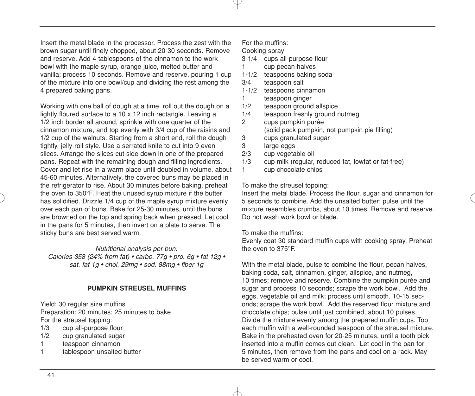Insert the metal blade in the processor. Process the zest with the brown sugar until finely chopped, about 20-30 seconds. Remove and reserve. Add 4 tablespoons of the cinnamon to the work bowl with the maple syrup, orange juice, melted butter and vanilla; process 10 seconds. Remove and reserve, pouring 1 cup of the mixture into one bowl/cup and dividing the rest among the 4 prepared baking pans.

Working with one ball of dough at a time, roll out the dough on a lightly floured surface to a 10 x 12 inch rectangle. Leaving a 1/2 inch border all around, sprinkle with one quarter of the cinnamon mixture, and top evenly with 3/4 cup of the raisins and 1/2 cup of the walnuts. Starting from a short end, roll the dough tightly, jelly-roll style. Use a serrated knife to cut into 9 even slices. Arrange the slices cut side down in one of the prepared pans. Repeat with the remaining dough and filling ingredients. Cover and let rise in a warm place until doubled in volume, about 45-60 minutes. Alternatively, the covered buns may be placed in the refrigerator to rise. About 30 minutes before baking, preheat the oven to 350°F. Heat the unused syrup mixture if the butter has solidified. Drizzle 1/4 cup of the maple syrup mixture evenly over each pan of buns. Bake for 25-30 minutes, until the buns are browned on the top and spring back when pressed. Let cool in the pans for 5 minutes, then invert on a plate to serve. The sticky buns are best served warm.

*Nutritional analysis per bun:*

*Calories 358 (24% from fat) • carbo. 77g • pro. 6g • fat 12g • sat. fat 1g • chol. 29mg • sod. 88mg • fiber 1g*

#### **PUMPKIN STREUSEL MUFFINS**

Yield: 30 regular size muffins Preparation: 20 minutes; 25 minutes to bake For the streusel topping:

- 1/3 cup all-purpose flour
- 1/2 cup granulated sugar
- 1 teaspoon cinnamon
- 1 tablespoon unsalted butter

For the muffins:

Cooking spray

- 3-1/4 cups all-purpose flour
- 1 cup pecan halves
- 1-1/2 teaspoons baking soda
- 3/4 teaspoon salt
- 1-1/2 teaspoons cinnamon
- 1 teaspoon ginger
- 1/2 teaspoon ground allspice<br>1/4 teaspoon freshly ground r
- teaspoon freshly ground nutmeg
- 2 cups pumpkin purée (solid pack pumpkin, not pumpkin pie filling)
- 3 cups granulated sugar
- 3 large eggs<br>2/3 cup vegeta
- cup vegetable oil
- 1/3 cup milk (regular, reduced fat, lowfat or fat-free)
- 1 cup chocolate chips

To make the streusel topping:

Insert the metal blade. Process the flour, sugar and cinnamon for 5 seconds to combine. Add the unsalted butter; pulse until the mixture resembles crumbs, about 10 times. Remove and reserve. Do not wash work bowl or blade.

#### To make the muffins:

Evenly coat 30 standard muffin cups with cooking spray. Preheat the oven to 375°F.

With the metal blade, pulse to combine the flour, pecan halves, baking soda, salt, cinnamon, ginger, allspice, and nutmeg, 10 times; remove and reserve. Combine the pumpkin purée and sugar and process 10 seconds; scrape the work bowl. Add the eggs, vegetable oil and milk; process until smooth, 10-15 seconds; scrape the work bowl. Add the reserved flour mixture and chocolate chips; pulse until just combined, about 10 pulses. Divide the mixture evenly among the prepared muffin cups. Top each muffin with a well-rounded teaspoon of the streusel mixture. Bake in the preheated oven for 20-25 minutes, until a tooth pick inserted into a muffin comes out clean. Let cool in the pan for 5 minutes, then remove from the pans and cool on a rack. May be served warm or cool.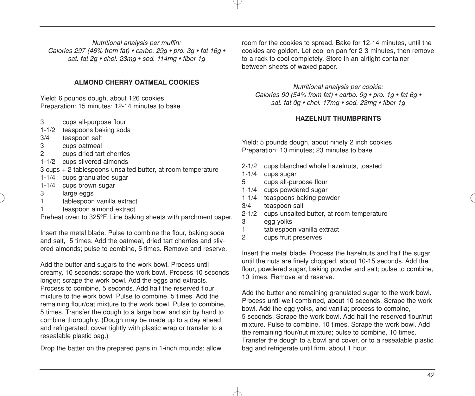*Nutritional analysis per muffin: Calories 297 (46% from fat) • carbo. 29g • pro. 3g • fat 16g • sat. fat 2g • chol. 23mg • sod. 114mg • fiber 1g*

#### **ALMOND CHERRY OATMEAL COOKIES**

Yield: 6 pounds dough, about 126 cookies Preparation: 15 minutes; 12-14 minutes to bake

- 3 cups all-purpose flour
- 1-1/2 teaspoons baking soda
- 3/4 teaspoon salt
- 3 cups oatmeal<br>2 cups dried tart
- cups dried tart cherries
- 1-1/2 cups slivered almonds
- 3 cups + 2 tablespoons unsalted butter, at room temperature
- 1-1/4 cups granulated sugar
- 1-1/4 cups brown sugar
- 3 large eggs
- 1 tablespoon vanilla extract
- 1 teaspoon almond extract

Preheat oven to 325°F. Line baking sheets with parchment paper.

Insert the metal blade. Pulse to combine the flour, baking soda and salt, 5 times. Add the oatmeal, dried tart cherries and slivered almonds; pulse to combine, 5 times. Remove and reserve.

Add the butter and sugars to the work bowl. Process until creamy, 10 seconds; scrape the work bowl. Process 10 seconds longer; scrape the work bowl. Add the eggs and extracts. Process to combine, 5 seconds. Add half the reserved flour mixture to the work bowl. Pulse to combine, 5 times. Add the remaining flour/oat mixture to the work bowl. Pulse to combine, 5 times. Transfer the dough to a large bowl and stir by hand to combine thoroughly. (Dough may be made up to a day ahead and refrigerated; cover tightly with plastic wrap or transfer to a resealable plastic bag.)

Drop the batter on the prepared pans in 1-inch mounds; allow

room for the cookies to spread. Bake for 12-14 minutes, until the cookies are golden. Let cool on pan for 2-3 minutes, then remove to a rack to cool completely. Store in an airtight container between sheets of waxed paper.

*Nutritional analysis per cookie: Calories 90 (54% from fat) • carbo. 9g • pro. 1g • fat 6g • sat. fat 0g • chol. 17mg • sod. 23mg • fiber 1g*

#### **HAZELNUT THUMBPRINTS**

Yield: 5 pounds dough, about ninety 2 inch cookies Preparation: 10 minutes; 23 minutes to bake

- 2-1/2 cups blanched whole hazelnuts, toasted
- 1-1/4 cups sugar
- 5 cups all-purpose flour
- 1-1/4 cups powdered sugar
- 1-1/4 teaspoons baking powder
- 3/4 teaspoon salt
- 2-1/2 cups unsalted butter, at room temperature
- 3 egg yolks
- 1 tablespoon vanilla extract<br>2 cups fruit preserves
- cups fruit preserves

Insert the metal blade. Process the hazelnuts and half the sugar until the nuts are finely chopped, about 10-15 seconds. Add the flour, powdered sugar, baking powder and salt; pulse to combine, 10 times. Remove and reserve.

Add the butter and remaining granulated sugar to the work bowl. Process until well combined, about 10 seconds. Scrape the work bowl. Add the egg yolks, and vanilla; process to combine, 5 seconds. Scrape the work bowl. Add half the reserved flour/nut mixture. Pulse to combine, 10 times. Scrape the work bowl. Add the remaining flour/nut mixture; pulse to combine, 10 times. Transfer the dough to a bowl and cover, or to a resealable plastic bag and refrigerate until firm, about 1 hour.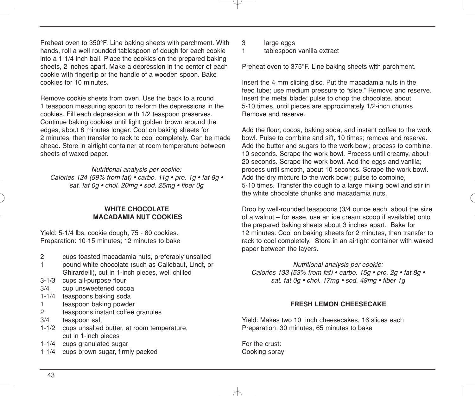Preheat oven to 350°F. Line baking sheets with parchment. With hands, roll a well-rounded tablespoon of dough for each cookie into a 1-1/4 inch ball. Place the cookies on the prepared baking sheets, 2 inches apart. Make a depression in the center of each cookie with fingertip or the handle of a wooden spoon. Bake cookies for 10 minutes.

Remove cookie sheets from oven. Use the back to a round 1 teaspoon measuring spoon to re-form the depressions in the cookies. Fill each depression with 1/2 teaspoon preserves. Continue baking cookies until light golden brown around the edges, about 8 minutes longer. Cool on baking sheets for 2 minutes, then transfer to rack to cool completely. Can be made ahead. Store in airtight container at room temperature between sheets of waxed paper.

*Nutritional analysis per cookie:*

*Calories 124 (59% from fat) • carbo. 11g • pro. 1g • fat 8g • sat. fat 0g • chol. 20mg • sod. 25mg • fiber 0g*

#### **WHITE CHOCOLATE MACADAMIA NUT COOKIES**

Yield: 5-1/4 lbs. cookie dough, 75 - 80 cookies. Preparation: 10-15 minutes; 12 minutes to bake

- 2 cups toasted macadamia nuts, preferably unsalted
- 1 pound white chocolate (such as Callebaut, Lindt, or Ghirardelli), cut in 1-inch pieces, well chilled
- 3-1/3 cups all-purpose flour
- 3/4 cup unsweetened cocoa
- 1-1/4 teaspoons baking soda
- 1 teaspoon baking powder
- 2 teaspoons instant coffee granules
- 3/4 teaspoon salt
- 1-1/2 cups unsalted butter, at room temperature, cut in 1-inch pieces
- 1-1/4 cups granulated sugar
- 1-1/4 cups brown sugar, firmly packed
- 3 large eggs<br>1 tablespoon
- tablespoon vanilla extract

Preheat oven to 375°F. Line baking sheets with parchment.

Insert the 4 mm slicing disc. Put the macadamia nuts in the feed tube; use medium pressure to "slice." Remove and reserve. Insert the metal blade; pulse to chop the chocolate, about 5-10 times, until pieces are approximately 1/2-inch chunks. Remove and reserve.

Add the flour, cocoa, baking soda, and instant coffee to the work bowl. Pulse to combine and sift, 10 times; remove and reserve. Add the butter and sugars to the work bowl; process to combine, 10 seconds. Scrape the work bowl. Process until creamy, about 20 seconds. Scrape the work bowl. Add the eggs and vanilla: process until smooth, about 10 seconds. Scrape the work bowl. Add the dry mixture to the work bowl; pulse to combine, 5-10 times. Transfer the dough to a large mixing bowl and stir in the white chocolate chunks and macadamia nuts.

Drop by well-rounded teaspoons (3/4 ounce each, about the size of a walnut – for ease, use an ice cream scoop if available) onto the prepared baking sheets about 3 inches apart. Bake for 12 minutes. Cool on baking sheets for 2 minutes, then transfer to rack to cool completely. Store in an airtight container with waxed paper between the layers.

*Nutritional analysis per cookie: Calories 133 (53% from fat) • carbo. 15g • pro. 2g • fat 8g • sat. fat 0g • chol. 17mg • sod. 49mg • fiber 1g*

#### **FRESH LEMON CHEESECAKE**

Yield: Makes two 10 inch cheesecakes, 16 slices each Preparation: 30 minutes, 65 minutes to bake

For the crust: Cooking spray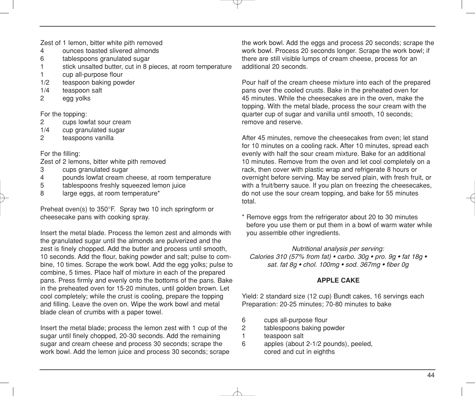Zest of 1 lemon, bitter white pith removed<br>4 ounces toasted slivered almonds

- 4 ounces toasted slivered almonds<br>6 tablespoons granulated sugar
- tablespoons granulated sugar
- 1 stick unsalted butter, cut in 8 pieces, at room temperature
- 1 cup all-purpose flour
- 1/2 teaspoon baking powder<br>1/4 teaspoon salt
- teaspoon salt
- 2 egg yolks

For the topping:

- 2 cups lowfat sour cream<br>1/4 cup granulated sugar
- cup granulated sugar
- 2 teaspoons vanilla

For the filling:

Zest of 2 lemons, bitter white pith removed

- 3 cups granulated sugar
- 4 pounds lowfat cream cheese, at room temperature
- 5 tablespoons freshly squeezed lemon juice
- 8 large eggs, at room temperature\*

Preheat oven(s) to 350°F. Spray two 10 inch springform or cheesecake pans with cooking spray.

Insert the metal blade. Process the lemon zest and almonds with the granulated sugar until the almonds are pulverized and the zest is finely chopped. Add the butter and process until smooth, 10 seconds. Add the flour, baking powder and salt; pulse to combine, 10 times. Scrape the work bowl. Add the egg yolks; pulse to combine, 5 times. Place half of mixture in each of the prepared pans. Press firmly and evenly onto the bottoms of the pans. Bake in the preheated oven for 15-20 minutes, until golden brown. Let cool completely; while the crust is cooling, prepare the topping and filling. Leave the oven on. Wipe the work bowl and metal blade clean of crumbs with a paper towel.

Insert the metal blade; process the lemon zest with 1 cup of the sugar until finely chopped, 20-30 seconds. Add the remaining sugar and cream cheese and process 30 seconds; scrape the work bowl. Add the lemon juice and process 30 seconds; scrape the work bowl. Add the eggs and process 20 seconds; scrape the work bowl. Process 20 seconds longer. Scrape the work bowl; if there are still visible lumps of cream cheese, process for an additional 20 seconds.

Pour half of the cream cheese mixture into each of the prepared pans over the cooled crusts. Bake in the preheated oven for 45 minutes. While the cheesecakes are in the oven, make the topping. With the metal blade, process the sour cream with the quarter cup of sugar and vanilla until smooth, 10 seconds; remove and reserve.

After 45 minutes, remove the cheesecakes from oven; let stand for 10 minutes on a cooling rack. After 10 minutes, spread each evenly with half the sour cream mixture. Bake for an additional 10 minutes. Remove from the oven and let cool completely on a rack, then cover with plastic wrap and refrigerate 8 hours or overnight before serving. May be served plain, with fresh fruit, or with a fruit/berry sauce. If you plan on freezing the cheesecakes, do not use the sour cream topping, and bake for 55 minutes total.

\* Remove eggs from the refrigerator about 20 to 30 minutes before you use them or put them in a bowl of warm water while you assemble other ingredients.

*Nutritional analysis per serving: Calories 310 (57% from fat) • carbo. 30g • pro. 9g • fat 18g • sat. fat 8g • chol. 100mg • sod. 367mg • fiber 0g*

#### **APPLE CAKE**

Yield: 2 standard size (12 cup) Bundt cakes, 16 servings each Preparation: 20-25 minutes; 70-80 minutes to bake

- 6 cups all-purpose flour
- 2 tablespoons baking powder
- 1 teaspoon salt
- 6 apples (about 2-1/2 pounds), peeled, cored and cut in eighths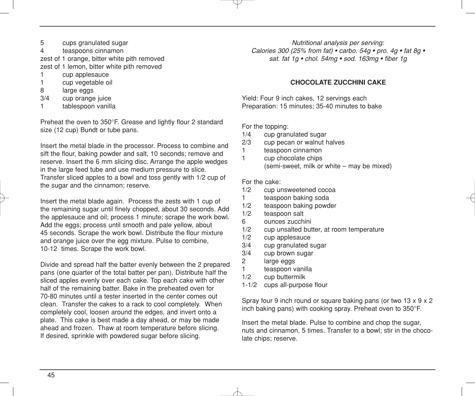- 5 cups granulated sugar<br>4 teaspoons cinnamon
- teaspoons cinnamon

zest of 1 orange, bitter white pith removed zest of 1 lemon, bitter white pith removed

- 1 cup applesauce
- 1 cup vegetable oil
- $\frac{8}{3/4}$  large eggs
- cup orange juice
- 1 tablespoon vanilla

Preheat the oven to 350°F. Grease and lightly flour 2 standard size (12 cup) Bundt or tube pans.

Insert the metal blade in the processor. Process to combine and sift the flour, baking powder and salt, 10 seconds; remove and reserve. Insert the 6 mm slicing disc. Arrange the apple wedges in the large feed tube and use medium pressure to slice. Transfer sliced apples to a bowl and toss gently with 1/2 cup of the sugar and the cinnamon; reserve.

Insert the metal blade again. Process the zests with 1 cup of the remaining sugar until finely chopped, about 30 seconds. Add the applesauce and oil; process 1 minute; scrape the work bowl. Add the eggs; process until smooth and pale yellow, about 45 seconds. Scrape the work bowl. Distribute the flour mixture and orange juice over the egg mixture. Pulse to combine, 10-12 times. Scrape the work bowl.

Divide and spread half the batter evenly between the 2 prepared pans (one quarter of the total batter per pan). Distribute half the sliced apples evenly over each cake. Top each cake with other half of the remaining batter. Bake in the preheated oven for 70-80 minutes until a tester inserted in the center comes out clean. Transfer the cakes to a rack to cool completely. When completely cool, loosen around the edges, and invert onto a plate. This cake is best made a day ahead, or may be made ahead and frozen. Thaw at room temperature before slicing. If desired, sprinkle with powdered sugar before slicing.

*Nutritional analysis per serving: Calories 300 (25% from fat) • carbo. 54g • pro. 4g • fat 8g • sat. fat 1g • chol. 54mg • sod. 163mg • fiber 1g*

#### **CHOCOLATE ZUCCHINI CAKE**

Yield: Four 9 inch cakes, 12 servings each Preparation: 15 minutes; 35-40 minutes to bake

For the topping:

- $1/4$  cup granulated sugar<br> $2/3$  cup pecan or walnut b
- cup pecan or walnut halves
- 1 teaspoon cinnamon<br>1 cun chocolate chins
- cup chocolate chips (semi-sweet, milk or white – may be mixed)

For the cake:

- 1/2 cup unsweetened cocoa<br>1 teaspoon baking soda
- teaspoon baking soda
- 1/2 teaspoon baking powder
- 1/2 teaspoon salt
- 6 ounces zucchini
- 1/2 cup unsalted butter, at room temperature<br>1/2 cup applesauce
- cup applesauce
- 3/4 cup granulated sugar
- 3/4 cup brown sugar
- 2 large eggs
- 1 teaspoon vanilla
- 1/2 cup buttermilk
- 1-1/2 cups all-purpose flour

Spray four 9 inch round or square baking pans (or two 13 x 9 x 2 inch baking pans) with cooking spray. Preheat oven to 350°F.

Insert the metal blade. Pulse to combine and chop the sugar, nuts and cinnamon, 5 times. Transfer to a bowl; stir in the chocolate chips; reserve.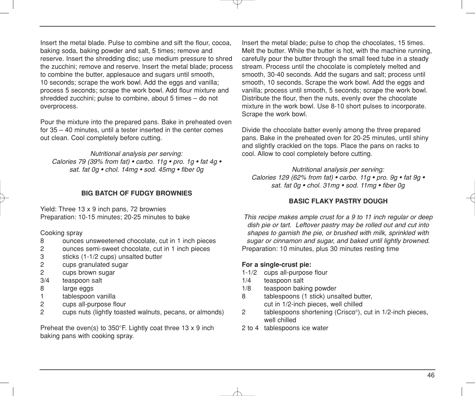Insert the metal blade. Pulse to combine and sift the flour, cocoa, baking soda, baking powder and salt, 5 times; remove and reserve. Insert the shredding disc; use medium pressure to shred the zucchini; remove and reserve. Insert the metal blade; process to combine the butter, applesauce and sugars until smooth, 10 seconds; scrape the work bowl. Add the eggs and vanilla; process 5 seconds; scrape the work bowl. Add flour mixture and shredded zucchini; pulse to combine, about 5 times – do not overprocess.

Pour the mixture into the prepared pans. Bake in preheated oven for 35 – 40 minutes, until a tester inserted in the center comes out clean. Cool completely before cutting.

#### *Nutritional analysis per serving:*

*Calories 79 (39% from fat) • carbo. 11g • pro. 1g • fat 4g • sat. fat 0g • chol. 14mg • sod. 45mg • fiber 0g*

#### **BIG BATCH OF FUDGY BROWNIES**

Yield: Three 13 x 9 inch pans, 72 brownies Preparation: 10-15 minutes; 20-25 minutes to bake

Cooking spray

- 8 ounces unsweetened chocolate, cut in 1 inch pieces
- ounces semi-sweet chocolate, cut in 1 inch pieces
- 3 sticks (1-1/2 cups) unsalted butter
- 2 cups granulated sugar
- 2 cups brown sugar
- 3/4 teaspoon salt
- 8 large eggs
- 1 tablespoon vanilla
- 2 cups all-purpose flour
- 2 cups nuts (lightly toasted walnuts, pecans, or almonds)

Preheat the oven(s) to 350°F. Lightly coat three 13 x 9 inch baking pans with cooking spray.

Insert the metal blade; pulse to chop the chocolates, 15 times. Melt the butter. While the butter is hot, with the machine running, carefully pour the butter through the small feed tube in a steady stream. Process until the chocolate is completely melted and smooth, 30-40 seconds. Add the sugars and salt; process until smooth, 10 seconds. Scrape the work bowl. Add the eggs and vanilla; process until smooth, 5 seconds; scrape the work bowl. Distribute the flour, then the nuts, evenly over the chocolate mixture in the work bowl. Use 8-10 short pulses to incorporate. Scrape the work bowl.

Divide the chocolate batter evenly among the three prepared pans. Bake in the preheated oven for 20-25 minutes, until shiny and slightly crackled on the tops. Place the pans on racks to cool. Allow to cool completely before cutting.

*Nutritional analysis per serving: Calories 129 (62% from fat) • carbo. 11g • pro. 9g • fat 9g • sat. fat 0g • chol. 31mg • sod. 11mg • fiber 0g*

#### **BASIC FLAKY PASTRY DOUGH**

*This recipe makes ample crust for a 9 to 11 inch regular or deep dish pie or tart. Leftover pastry may be rolled out and cut into shapes to garnish the pie, or brushed with milk, sprinkled with sugar or cinnamon and sugar, and baked until lightly browned.* Preparation: 10 minutes, plus 30 minutes resting time

#### **For a single-crust pie:**

- 1-1/2 cups all-purpose flour
- 1/4 teaspoon salt
- 1/8 teaspoon baking powder
- 8 tablespoons (1 stick) unsalted butter, cut in 1/2-inch pieces, well chilled
- 2 tablespoons shortening (Crisco®), cut in 1/2-inch pieces, well chilled
- 2 to 4 tablespoons ice water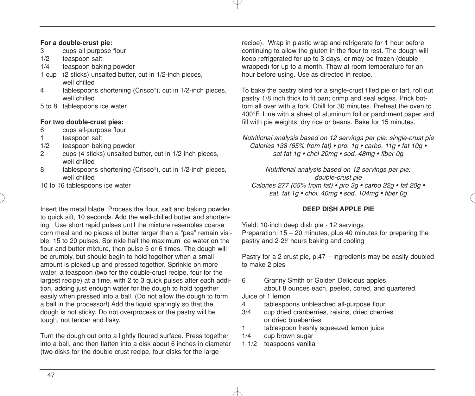### **For a double-crust pie:**

- 3 cups all-purpose flour<br>1/2 teaspoon salt
- teaspoon salt
- 1/4 teaspoon baking powder
- 1 cup (2 sticks) unsalted butter, cut in 1/2-inch pieces, well chilled
- 4 tablespoons shortening (Crisco®), cut in 1/2-inch pieces, well chilled
- 5 to 8 tablespoons ice water

#### **For two double-crust pies:**

- 6 cups all-purpose flour
- 1 teaspoon salt
- 1/2 teaspoon baking powder<br>2 cups (4 sticks) unsalted b
- 2 cups (4 sticks) unsalted butter, cut in 1/2-inch pieces, well chilled
- 8 tablespoons shortening (Crisco®), cut in 1/2-inch pieces, well chilled
- 10 to 16 tablespoons ice water

Insert the metal blade. Process the flour, salt and baking powder to quick sift, 10 seconds. Add the well-chilled butter and shortening. Use short rapid pulses until the mixture resembles coarse corn meal and no pieces of butter larger than a "pea" remain visible, 15 to 20 pulses. Sprinkle half the maximum ice water on the flour and butter mixture, then pulse 5 or 6 times. The dough will be crumbly, but should begin to hold together when a small amount is picked up and pressed together. Sprinkle on more water, a teaspoon (two for the double-crust recipe, four for the largest recipe) at a time, with 2 to 3 quick pulses after each addition, adding just enough water for the dough to hold together easily when pressed into a ball. (Do not allow the dough to form a ball in the processor!) Add the liquid sparingly so that the dough is not sticky. Do not overprocess or the pastry will be tough, not tender and flaky.

Turn the dough out onto a lightly floured surface. Press together into a ball, and then flatten into a disk about 6 inches in diameter (two disks for the double-crust recipe, four disks for the large

recipe). Wrap in plastic wrap and refrigerate for 1 hour before continuing to allow the gluten in the flour to rest. The dough will keep refrigerated for up to 3 days, or may be frozen (double wrapped) for up to a month. Thaw at room temperature for an hour before using. Use as directed in recipe.

To bake the pastry blind for a single-crust filled pie or tart, roll out pastry 1/8 inch thick to fit pan; crimp and seal edges. Prick bottom all over with a fork. Chill for 30 minutes. Preheat the oven to 400°F. Line with a sheet of aluminum foil or parchment paper and fill with pie weights, dry rice or beans. Bake for 15 minutes.

*Nutritional analysis based on 12 servings per pie: single-crust pie Calories 138 (65% from fat) • pro. 1g • carbo. 11g • fat 10g • sat fat 1g • chol 20mg • sod. 48mg • fiber 0g*

*Nutritional analysis based on 12 servings per pie: double-crust pie Calories 277 (65% from fat) • pro 3g • carbo 22g • fat 20g • sat. fat 1g • chol. 40mg • sod. 104mg • fiber 0g*

#### **DEEP DISH APPLE PIE**

Yield: 10-inch deep dish pie - 12 servings Preparation: 15 – 20 minutes, plus 40 minutes for preparing the pastry and 2-21 ⁄2 hours baking and cooling

Pastry for a 2 crust pie, p.47 – Ingredients may be easily doubled to make 2 pies

6 Granny Smith or Golden Delicious apples, about 8 ounces each, peeled, cored, and quartered

Juice of 1 lemon

- 4 tablespoons unbleached all-purpose flour
- 3/4 cup dried cranberries, raisins, dried cherries or dried blueberries
- 1 tablespoon freshly squeezed lemon juice
- 1/4 cup brown sugar
- 1-1/2 teaspoons vanilla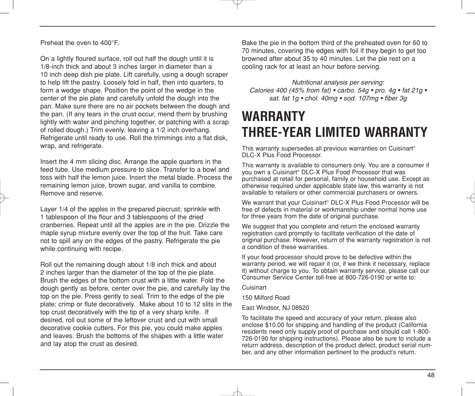Preheat the oven to 400°F.

On a lightly floured surface, roll out half the dough until it is 1/8-inch thick and about 3 inches larger in diameter than a 10 inch deep dish pie plate. Lift carefully, using a dough scraper to help lift the pastry. Loosely fold in half, then into quarters, to form a wedge shape. Position the point of the wedge in the center of the pie plate and carefully unfold the dough into the pan. Make sure there are no air pockets between the dough and the pan. (If any tears in the crust occur, mend them by brushing lightly with water and pinching together, or patching with a scrap of rolled dough.) Trim evenly, leaving a 1/2 inch overhang. Refrigerate until ready to use. Roll the trimmings into a flat disk, wrap, and refrigerate.

Insert the 4 mm slicing disc. Arrange the apple quarters in the feed tube. Use medium pressure to slice. Transfer to a bowl and toss with half the lemon juice. Insert the metal blade. Process the remaining lemon juice, brown sugar, and vanilla to combine. Remove and reserve.

Layer 1/4 of the apples in the prepared piecrust; sprinkle with 1 tablespoon of the flour and 3 tablespoons of the dried cranberries. Repeat until all the apples are in the pie. Drizzle the maple syrup mixture evenly over the top of the fruit. Take care not to spill any on the edges of the pastry. Refrigerate the pie while continuing with recipe.

Roll out the remaining dough about 1/8 inch thick and about 2 inches larger than the diameter of the top of the pie plate. Brush the edges of the bottom crust with a little water. Fold the dough gently as before, center over the pie, and carefully lay the top on the pie. Press gently to seal. Trim to the edge of the pie plate; crimp or flute decoratively. Make about 10 to 12 slits in the top crust decoratively with the tip of a very sharp knife. If desired, roll out some of the leftover crust and cut with small decorative cookie cutters. For this pie, you could make apples and leaves. Brush the bottoms of the shapes with a little water and lay atop the crust as desired.

Bake the pie in the bottom third of the preheated oven for 60 to 70 minutes, covering the edges with foil if they begin to get too browned after about 35 to 40 minutes. Let the pie rest on a cooling rack for at least an hour before serving.

*Nutritional analysis per serving: Calories 400 (45% from fat) • carbo. 54g • pro. 4g • fat 21g • sat. fat 1g • chol. 40mg • sod. 107mg • fiber 3g*

## **WARRANTY THREE-YEAR LIMITED WARRANTY**

This warranty supersedes all previous warranties on Cuisinart® DLC-X Plus Food Processor.

This warranty is available to consumers only. You are a consumer if you own a Cuisinart® DLC-X Plus Food Processor that was purchased at retail for personal, family or household use. Except as otherwise required under applicable state law, this warranty is not available to retailers or other commercial purchasers or owners.

We warrant that your Cuisinart® DLC-X Plus Food Processor will be free of defects in material or workmanship under normal home use for three years from the date of original purchase.

We suggest that you complete and return the enclosed warranty registration card promptly to facilitate verification of the date of original purchase. However, return of the warranty registration is not a condition of these warranties.

If your food processor should prove to be defective within the warranty period, we will repair it (or, if we think it necessary, replace it) without charge to you. To obtain warranty service, please call our Consumer Service Center toll-free at 800-726-0190 or write to:

Cuisinart

150 Milford Road

East Windsor, NJ 08520

To facilitate the speed and accuracy of your return, please also enclose \$10.00 for shipping and handling of the product (California residents need only supply proof of purchase and should call 1-800- 726-0190 for shipping instructions). Please also be sure to include a return address, description of the product defect, product serial number, and any other information pertinent to the product's return.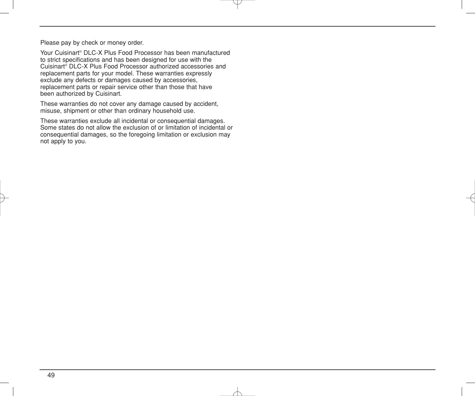Please pay by check or money order.

Your Cuisinart® DLC-X Plus Food Processor has been manufactured to strict specifications and has been designed for use with the Cuisinart® DLC-X Plus Food Processor authorized accessories and replacement parts for your model. These warranties expressly exclude any defects or damages caused by accessories, replacement parts or repair service other than those that have been authorized by Cuisinart.

These warranties do not cover any damage caused by accident, misuse, shipment or other than ordinary household use.

These warranties exclude all incidental or consequential damages. Some states do not allow the exclusion of or limitation of incidental or consequential damages, so the foregoing limitation or exclusion may not apply to you.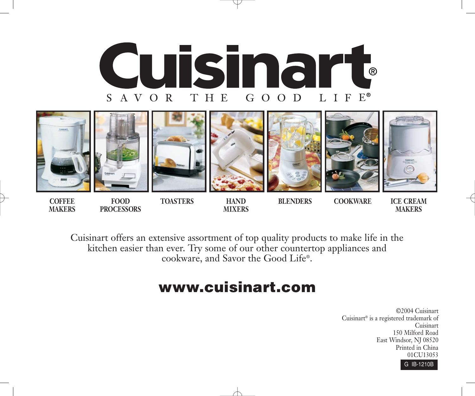



**COFFEE FOOD TOASTERS HAND BLENDERS COOKWARE ICE CREAM MAKERS PROCESSORS MIXERS MAKERS**

Cuisinart offers an extensive assortment of top quality products to make life in the kitchen easier than ever. Try some of our other countertop appliances and cookware, and Savor the Good Life®.

## **www.cuisinart.com**

©2004 Cuisinart Cuisinart® is a registered trademark of Cuisinart 150 Milford Road East Windsor, NJ 08520 Printed in China 01CU13053

G IB-1210B